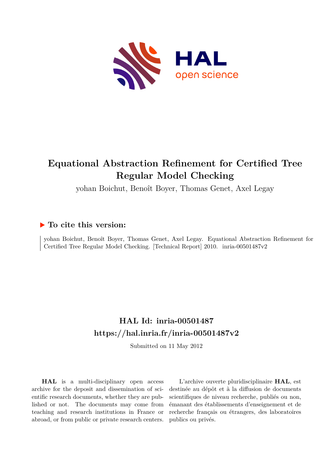

# **Equational Abstraction Refinement for Certified Tree Regular Model Checking**

yohan Boichut, Benoît Boyer, Thomas Genet, Axel Legay

## **To cite this version:**

yohan Boichut, Benoît Boyer, Thomas Genet, Axel Legay. Equational Abstraction Refinement for Certified Tree Regular Model Checking. [Technical Report] 2010. inria-00501487v2

# **HAL Id: inria-00501487 <https://hal.inria.fr/inria-00501487v2>**

Submitted on 11 May 2012

**HAL** is a multi-disciplinary open access archive for the deposit and dissemination of scientific research documents, whether they are published or not. The documents may come from teaching and research institutions in France or abroad, or from public or private research centers.

L'archive ouverte pluridisciplinaire **HAL**, est destinée au dépôt et à la diffusion de documents scientifiques de niveau recherche, publiés ou non, émanant des établissements d'enseignement et de recherche français ou étrangers, des laboratoires publics ou privés.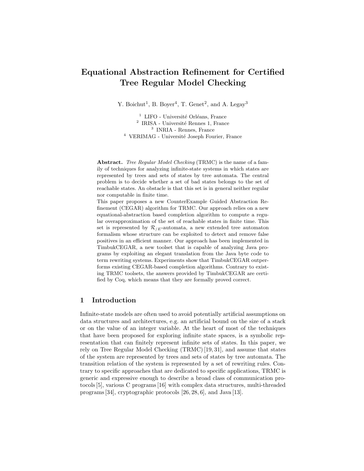## Equational Abstraction Refinement for Certified Tree Regular Model Checking

Y. Boichut<sup>1</sup>, B. Boyer<sup>4</sup>, T. Genet<sup>2</sup>, and A. Legay<sup>3</sup>

 $^{\rm 1}$  LIFO - Université Orléans, France <sup>2</sup> IRISA - Université Rennes 1, France 3 INRIA - Rennes, France <sup>4</sup> VERIMAG - Université Joseph Fourier, France

Abstract. Tree Regular Model Checking (TRMC) is the name of a family of techniques for analyzing infinite-state systems in which states are represented by trees and sets of states by tree automata. The central problem is to decide whether a set of bad states belongs to the set of reachable states. An obstacle is that this set is in general neither regular nor computable in finite time.

This paper proposes a new CounterExample Guided Abstraction Refinement (CEGAR) algorithm for TRMC. Our approach relies on a new equational-abstraction based completion algorithm to compute a regular overapproximation of the set of reachable states in finite time. This set is represented by  $\mathcal{R}_{\textit{E}}$ -automata, a new extended tree automaton formalism whose structure can be exploited to detect and remove false positives in an efficient manner. Our approach has been implemented in TimbukCEGAR, a new toolset that is capable of analyzing Java programs by exploiting an elegant translation from the Java byte code to term rewriting systems. Experiments show that TimbukCEGAR outperforms existing CEGAR-based completion algorithms. Contrary to existing TRMC toolsets, the answers provided by TimbukCEGAR are certified by Coq, which means that they are formally proved correct.

## 1 Introduction

Infinite-state models are often used to avoid potentially artificial assumptions on data structures and architectures, e.g. an artificial bound on the size of a stack or on the value of an integer variable. At the heart of most of the techniques that have been proposed for exploring infinite state spaces, is a symbolic representation that can finitely represent infinite sets of states. In this paper, we rely on Tree Regular Model Checking (TRMC) [19, 31], and assume that states of the system are represented by trees and sets of states by tree automata. The transition relation of the system is represented by a set of rewriting rules. Contrary to specific approaches that are dedicated to specific applications, TRMC is generic and expressive enough to describe a broad class of communication protocols [5], various C programs [16] with complex data structures, multi-threaded programs [34], cryptographic protocols [26, 28, 6], and Java [13].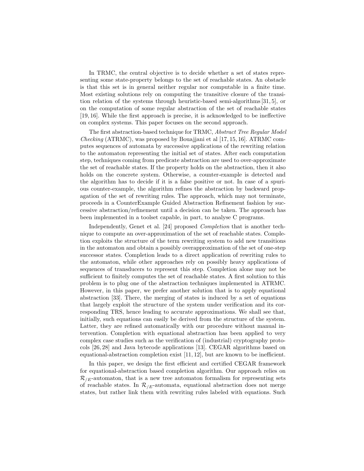In TRMC, the central objective is to decide whether a set of states representing some state-property belongs to the set of reachable states. An obstacle is that this set is in general neither regular nor computable in a finite time. Most existing solutions rely on computing the transitive closure of the transition relation of the systems through heuristic-based semi-algorithms [31, 5], or on the computation of some regular abstraction of the set of reachable states [19, 16]. While the first approach is precise, it is acknowledged to be ineffective on complex systems. This paper focuses on the second approach.

The first abstraction-based technique for TRMC, Abstract Tree Regular Model *Checking* (ATRMC), was proposed by Bouajjani et al  $[17, 15, 16]$ . ATRMC computes sequences of automata by successive applications of the rewriting relation to the automaton representing the initial set of states. After each computation step, techniques coming from predicate abstraction are used to over-approximate the set of reachable states. If the property holds on the abstraction, then it also holds on the concrete system. Otherwise, a counter-example is detected and the algorithm has to decide if it is a false positive or not. In case of a spurious counter-example, the algorithm refines the abstraction by backward propagation of the set of rewriting rules. The approach, which may not terminate, proceeds in a CounterExample Guided Abstraction Refinement fashion by successive abstraction/refinement until a decision can be taken. The approach has been implemented in a toolset capable, in part, to analyse C programs.

Independently, Genet et al. [24] proposed *Completion* that is another technique to compute an over-approximation of the set of reachable states. Completion exploits the structure of the term rewriting system to add new transitions in the automaton and obtain a possibly overapproximation of the set of one-step successor states. Completion leads to a direct application of rewriting rules to the automaton, while other approaches rely on possibly heavy applications of sequences of transducers to represent this step. Completion alone may not be sufficient to finitely computes the set of reachable states. A first solution to this problem is to plug one of the abstraction techniques implemented in ATRMC. However, in this paper, we prefer another solution that is to apply equational abstraction [33]. There, the merging of states is induced by a set of equations that largely exploit the structure of the system under verification and its corresponding TRS, hence leading to accurate approximations. We shall see that, initially, such equations can easily be derived from the structure of the system. Latter, they are refined automatically with our procedure without manual intervention. Completion with equational abstraction has been applied to very complex case studies such as the verification of (industrial) cryptography protocols [26, 28] and Java bytecode applications [13]. CEGAR algorithms based on equational-abstraction completion exist [11, 12], but are known to be inefficient.

In this paper, we design the first efficient and certified CEGAR framework for equational-abstraction based completion algorithm. Our approach relies on  $\mathcal{R}_{F}$ -automaton, that is a new tree automaton formalism for representing sets of reachable states. In  $\mathcal{R}_{/E}$ -automata, equational abstraction does not merge states, but rather link them with rewriting rules labeled with equations. Such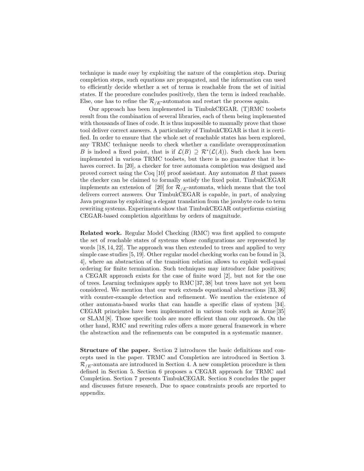technique is made easy by exploiting the nature of the completion step. During completion steps, such equations are propagated, and the information can used to efficiently decide whether a set of terms is reachable from the set of initial states. If the procedure concludes positively, then the term is indeed reachable. Else, one has to refine the  $\mathcal{R}_{/E}$ -automaton and restart the process again.

Our approach has been implemented in TimbukCEGAR. (T)RMC toolsets result from the combination of several libraries, each of them being implemented with thousands of lines of code. It is thus impossible to manually prove that those tool deliver correct answers. A particularity of TimbukCEGAR is that it is certified. In order to ensure that the whole set of reachable states has been explored, any TRMC technique needs to check whether a candidate overapproximation B is indeed a fixed point, that is if  $\mathcal{L}(B) \supseteq \mathcal{R}^*(\mathcal{L}(A))$ . Such check has been implemented in various TRMC toolsets, but there is no guarantee that it behaves correct. In [20], a checker for tree automata completion was designed and proved correct using the Coq  $[10]$  proof assistant. Any automaton  $B$  that passes the checker can be claimed to formally satisfy the fixed point. TimbukCEGAR implements an extension of [20] for  $\mathcal{R}_{/E}$ -automata, which means that the tool delivers correct answers. Our TimbukCEGAR is capable, in part, of analyzing Java programs by exploiting a elegant translation from the javabyte code to term rewriting systems. Experiments show that TimbukCEGAR outperforms existing CEGAR-based completion algorithms by orders of magnitude.

Related work. Regular Model Checking (RMC) was first applied to compute the set of reachable states of systems whose configurations are represented by words [18, 14, 22]. The approach was then extended to trees and applied to very simple case studies [5, 19]. Other regular model checking works can be found in [3, 4], where an abstraction of the transition relation allows to exploit well-quasi ordering for finite termination. Such techniques may introduce false positives; a CEGAR approach exists for the case of finite word [2], but not for the one of trees. Learning techniques apply to RMC [37, 38] but trees have not yet been considered. We mention that our work extends equational abstractions [33, 36] with counter-example detection and refinement. We mention the existence of other automata-based works that can handle a specific class of system [34]. CEGAR principles have been implemented in various tools such as Arme [35] or SLAM [8]. Those specific tools are more efficient than our approach. On the other hand, RMC and rewriting rules offers a more general framework in where the abstraction and the refinements can be computed in a systematic manner.

Structure of the paper. Section 2 introduces the basic definitions and concepts used in the paper. TRMC and Completion are introduced in Section 3.  $\mathcal{R}_{/E}$ -automata are introduced in Section 4. A new completion procedure is then defined in Section 5. Section 6 proposes a CEGAR approach for TRMC and Completion. Section 7 presents TimbukCEGAR. Section 8 concludes the paper and discusses future research. Due to space constraints proofs are reported to appendix.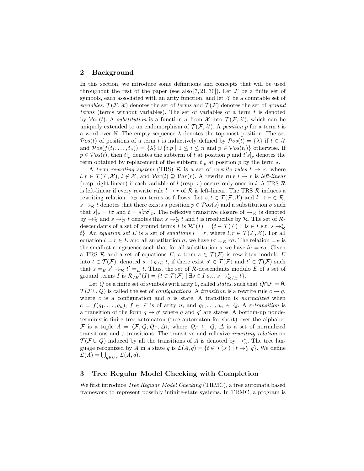## 2 Background

In this section, we introduce some definitions and concepts that will be used throughout the rest of the paper (see also [7, 21, 30]). Let  $\mathcal F$  be a finite set of symbols, each associated with an arity function, and let  $X$  be a countable set of variables.  $\mathcal{T}(\mathcal{F}, \mathcal{X})$  denotes the set of terms and  $\mathcal{T}(\mathcal{F})$  denotes the set of ground terms (terms without variables). The set of variables of a term  $t$  is denoted by  $Var(t)$ . A substitution is a function  $\sigma$  from X into  $\mathcal{T}(\mathcal{F},\mathcal{X})$ , which can be uniquely extended to an endomorphism of  $\mathcal{T}(\mathcal{F}, \mathcal{X})$ . A position p for a term t is a word over N. The empty sequence  $\lambda$  denotes the top-most position. The set  $\mathcal{P}os(t)$  of positions of a term t is inductively defined by  $\mathcal{P}os(t) = {\lambda}$  if  $t \in \mathcal{X}$ and  $Pos(f(t_1,..., t_n)) = {\lambda} \cup {i.p | 1 \le i \le n$  and  $p \in Pos(t_i)$  otherwise. If  $p \in \mathcal{P}os(t)$ , then  $t|_p$  denotes the subterm of t at position p and  $t[s]_p$  denotes the term obtained by replacement of the subterm  $t|_p$  at position p by the term s.

A term rewriting system (TRS) R is a set of rewrite rules  $l \rightarrow r$ , where  $l, r \in \mathcal{T}(\mathcal{F}, \mathcal{X}), l \notin \mathcal{X}$ , and  $Var(l) \supseteq Var(r)$ . A rewrite rule  $l \to r$  is left-linear (resp. right-linear) if each variable of  $l$  (resp. r) occurs only once in l. A TRS  $\mathcal R$ is left-linear if every rewrite rule  $l \to r$  of R is left-linear. The TRS R induces a rewriting relation  $\rightarrow_{\mathcal{R}}$  on terms as follows. Let  $s, t \in \mathcal{T}(\mathcal{F}, \mathcal{X})$  and  $l \rightarrow r \in \mathcal{R}$ ,  $s \to_{\mathcal{R}} t$  denotes that there exists a position  $p \in \mathcal{P}os(s)$  and a substitution  $\sigma$  such that  $s|_p = l\sigma$  and  $t = s[r\sigma]_p$ . The reflexive transitive closure of  $\rightarrow_{\mathcal{R}}$  is denoted by  $\rightarrow_{\mathcal{R}}^*$  and  $s \rightarrow_{\mathcal{R}}^* t$  denotes that  $s \rightarrow_{\mathcal{R}}^* t$  and t is irreducible by  $\mathcal{R}$ . The set of  $\mathcal{R}$ descendants of a set of ground terms  $I$  is  $\mathcal{R}^*(I) = \{t \in \mathcal{T}(\mathcal{F}) \mid \exists s \in I \text{ s.t. } s \to^*_{\mathcal{R}}\}$ t}. An equation set E is a set of equations  $l = r$ , where  $l, r \in \mathcal{T}(\mathcal{F}, \mathcal{X})$ . For all equation  $l = r \in E$  and all substitution  $\sigma$ , we have  $l\sigma =_E r\sigma$ . The relation  $=_E$  is the smallest congruence such that for all substitution  $\sigma$  we have  $l\sigma = r\sigma$ . Given a TRS R and a set of equations E, a term  $s \in \mathcal{T}(\mathcal{F})$  is rewritten modulo E into  $t \in \mathcal{T}(\mathcal{F})$ , denoted  $s \to_{\mathcal{R}/E} t$ , if there exist  $s' \in \mathcal{T}(\mathcal{F})$  and  $t' \in \mathcal{T}(\mathcal{F})$  such that  $s =_E s' \rightarrow_{\mathcal{R}} t' =_E t$ . Thus, the set of R-descendants modulo E of a set of ground terms I is  $\mathcal{R}_{/E}^*(I) = \{t \in \mathcal{T}(\mathcal{F}) \mid \exists s \in I \text{ s.t. } s \to_{\mathcal{R}/E}^* t\}.$ 

Let Q be a finite set of symbols with arity 0, called *states*, such that  $Q \cap \mathcal{F} = \emptyset$ .  $\mathcal{T}(\mathcal{F} \cup Q)$  is called the set of *configurations*. A transition is a rewrite rule  $c \to q$ , where c is a configuration and  $q$  is state. A transition is *normalized* when  $c = f(q_1, \ldots, q_n)$ ,  $f \in \mathcal{F}$  is of arity n, and  $q_1, \ldots, q_n \in Q$ . A  $\varepsilon$ -transition is a transition of the form  $q \to q'$  where q and q' are states. A bottom-up nondeterministic finite tree automaton (tree automaton for short) over the alphabet F is a tuple  $A = \langle F, Q, Q_F, \Delta \rangle$ , where  $Q_F \subseteq Q$ ,  $\Delta$  is a set of normalized transitions and  $\varepsilon$ -transitions. The transitive and reflexive *rewriting relation* on  $\mathcal{T}(\mathcal{F}\cup Q)$  induced by all the transitions of A is denoted by  $\rightarrow_A^*$ . The tree language recognized by A in a state q is  $\mathcal{L}(A,q) = \{t \in \mathcal{T}(\mathcal{F}) \mid t \to_A^* q\}$ . We define  $\mathcal{L}(A) = \bigcup_{q \in Q_F} \mathcal{L}(A, q).$ 

## 3 Tree Regular Model Checking with Completion

We first introduce *Tree Regular Model Checking* (TRMC), a tree automata based framework to represent possibly infinite-state systems. In TRMC, a program is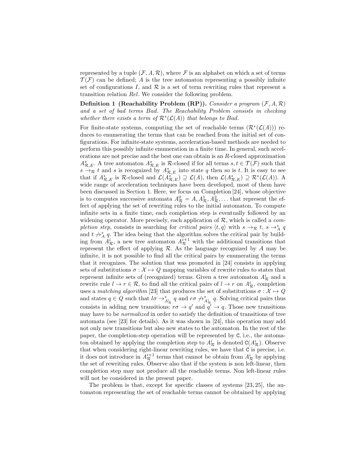represented by a tuple  $(\mathcal{F}, A, \mathcal{R})$ , where  $\mathcal F$  is an alphabet on which a set of terms  $\mathcal{T}(\mathcal{F})$  can be defined; A is the tree automaton representing a possibly infinite set of configurations I, and  $\mathcal R$  is a set of term rewriting rules that represent a transition relation Rel. We consider the following problem.

**Definition 1 (Reachability Problem (RP)).** Consider a program  $(F, A, \mathcal{R})$ and a set of bad terms Bad. The Reachability Problem consists in checking whether there exists a term of  $\mathcal{R}^*(\mathcal{L}(A))$  that belongs to Bad.

For finite-state systems, computing the set of reachable terms  $(\mathcal{R}^*(\mathcal{L}(A)))$  reduces to enumerating the terms that can be reached from the initial set of configurations. For infinite-state systems, acceleration-based methods are needed to perform this possibly infinite enumeration in a finite time. In general, such accelerations are not precise and the best one can obtain is an R-closed approximation  $A_{\mathcal{R},E}^*$ . A tree automaton  $A_{\mathcal{R},E}^*$  is R-closed if for all terms  $s, t \in \mathcal{T}(\mathcal{F})$  such that  $s \to_{\mathcal{R}} t$  and s is recognized by  $A_{\mathcal{R},E}^*$  into state q then so is t. It is easy to see that if  $A_{\mathcal{R},E}^*$  is  $\mathcal{R}\text{-closed}$  and  $\mathcal{L}(A_{\mathcal{R},E}^*)\supseteq \mathcal{L}(A)$ , then  $\mathcal{L}(A_{\mathcal{R},E}^*)\supseteq \mathcal{R}^*(\mathcal{L}(A))$ . A wide range of acceleration techniques have been developed, most of them have been discussed in Section 1. Here, we focus on Completion [24], whose objective is to computes successive automata  $A^0_{\mathcal{R}} = A, A^1_{\mathcal{R}}, A^2_{\mathcal{R}}, \dots$  that represent the effect of applying the set of rewriting rules to the initial automaton. To compute infinite sets in a finite time, each completion step is eventually followed by an widening operator. More precisely, each application of  $R$ , which is called a *com*pletion step, consists in searching for *critical pairs*  $\langle t, q \rangle$  with  $s \to \mathcal{R}$  t,  $s \to^*_{A} q$ and  $t \nightharpoonup_A^* q$ . The idea being that the algorithm solves the critical pair by building from  $A_R^i$ , a new tree automaton  $A_R^{i+1}$  with the additional transitions that represent the effect of applying  $R$ . As the language recognized by  $A$  may be infinite, it is not possible to find all the critical pairs by enumerating the terms that it recognizes. The solution that was promoted in [24] consists in applying sets of substitutions  $\sigma : \mathcal{X} \mapsto Q$  mapping variables of rewrite rules to states that represent infinite sets of (recognized) terms. Given a tree automaton  $A_R^i$  and a rewrite rule  $l \to r \in \mathcal{R}$ , to find all the critical pairs of  $l \to r$  on  $A_{\mathcal{R}}^i$ , completion uses a matching algorithm [23] that produces the set of substitutions  $\sigma : \mathcal{X} \mapsto Q$ and states  $q \in Q$  such that  $l\sigma \to_{A^i_{\mathcal{R}}}^* q$  and  $r\sigma \to_{A^i_{\mathcal{R}}}^* q$ . Solving critical pairs thus consists in adding new transitions:  $r\sigma \rightarrow q'$  and  $\ddot{q}' \rightarrow q$ . Those new transitions may have to be normalized in order to satisfy the definition of transitions of tree automata (see [23] for details). As it was shown in [24], this operation may add not only new transitions but also new states to the automaton. In the rest of the paper, the completion-step operation will be represented by C, i.e., the automaton obtained by applying the completion step to  $A^i_{\mathcal{R}}$  is denoted  $\mathcal{C}(A^i_{\mathcal{R}})$ . Observe that when considering right-linear rewriting rules, we have that C is precise, i.e. it does not introduce in  $A_{\mathcal{R}}^{i+1}$  terms that cannot be obtain from  $A_{\mathcal{R}}^{i}$  by applying the set of rewriting rules. Observe also that if the system is non left-linear, then completion step may not produce all the reachable terms. Non left-linear rules will not be considered in the present paper.

The problem is that, except for specific classes of systems [23, 25], the automaton representing the set of reachable terms cannot be obtained by applying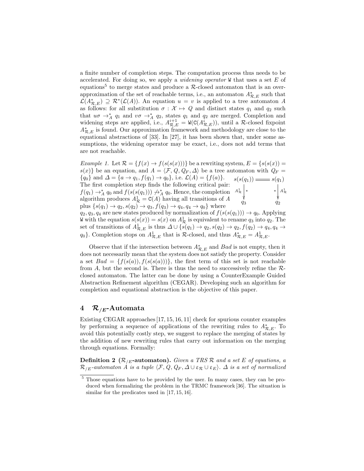a finite number of completion steps. The computation process thus needs to be accelerated. For doing so, we apply a *widening operator*  $W$  that uses a set  $E$  of equations<sup>5</sup> to merge states and produce a  $R$ -closed automaton that is an overapproximation of the set of reachable terms, i.e., an automaton  $A_{\mathcal{R},E}^*$  such that  $\mathcal{L}(A_{\mathcal{R},E}^*) \supseteq \mathcal{R}^*(\mathcal{L}(A)).$  An equation  $u = v$  is applied to a tree automaton A as follows: for all substitution  $\sigma : \mathcal{X} \mapsto Q$  and distinct states  $q_1$  and  $q_2$  such that  $u\sigma \rightarrow_A^* q_1$  and  $v\sigma \rightarrow_A^* q_2$ , states  $q_1$  and  $q_2$  are merged. Completion and widening steps are applied, i.e.,  $A_{\mathcal{R},E}^{i+1} = W(C(A_{\mathcal{R},E}^i))$ , until a R-closed fixpoint  $A_{\mathcal{R},E}^*$  is found. Our approximation framework and methodology are close to the equational abstractions of [33]. In [27], it has been shown that, under some assumptions, the widening operator may be exact, i.e., does not add terms that are not reachable.

Example 1. Let  $\mathcal{R} = \{f(x) \to f(s(s(x)))\}$  be a rewriting system,  $E = \{s(s(x)) =$ s(x)} be an equation, and  $A = \langle \mathcal{F}, Q, Q_F, \Delta \rangle$  be a tree automaton with  $Q_F =$  ${q_0}$  and  $\Delta = {a \rightarrow q_1, f(q_1) \rightarrow q_0}$ , i.e.  $\mathcal{L}(A) = {f(a)}$ . The first completion step finds the following critical pair:  $f(q_1) \rightarrow_A^* q_0$  and  $f(s(s(q_1))) \not\rightarrow_A^* q_0$ . Hence, the completion algorithm produces  $A^1_{\mathcal{R}} = \mathcal{C}(A)$  having all transitions of A plus  $\{s(q_1) \to q_2, s(q_2) \to q_3, f(q_3) \to q_4, q_4 \to q_0\}$  where  $s(s(q_1)) = s(q_1)$  $A^1_{\mathcal{R}}$   $*$ ŗ  $* \mid A_{\tau}^1$  $\boldsymbol{\mathcal{R}}$ ľ  $q_3$   $q_2$ 

 $q_2, q_3, q_4$  are new states produced by normalization of  $f(s(s(q_1))) \to q_0$ . Applying W with the equation  $s(s(x)) = s(x)$  on  $A^1_{\mathcal{R}}$  is equivalent to rename  $q_3$  into  $q_2$ . The set of transitions of  $A^1_{\mathcal{R},E}$  is thus  $\Delta \cup \{s(q_1) \to q_2, s(q_2) \to q_2, f(q_2) \to q_4, q_4 \to$  $q_0$ . Completion stops on  $A_{\mathcal{R},E}^1$  that is  $\mathcal{R}\text{-closed}$ , and thus  $A_{\mathcal{R},E}^* = A_{\mathcal{R},E}^1$ .

Observe that if the intersection between  $A_{\mathcal{R},E}^*$  and  $Bad$  is not empty, then it does not necessarily mean that the system does not satisfy the property. Consider a set  $Bad = \{f(s(a)), f(s(s(a)))\}$ , the first term of this set is not reachable from A, but the second is. There is thus the need to successively refine the  $\mathcal{R}$ closed automaton. The latter can be done by using a CounterExample Guided Abstraction Refinement algorithm (CEGAR). Developing such an algorithm for completion and equational abstraction is the objective of this paper.

## 4  $\mathcal{R}_{\textit{E}}$ -Automata

Existing CEGAR approaches [17, 15, 16, 11] check for spurious counter examples by performing a sequence of applications of the rewriting rules to  $A_{\mathcal{R},E}^*$ . To avoid this potentially costly step, we suggest to replace the merging of states by the addition of new rewriting rules that carry out information on the merging through equations. Formally:

**Definition 2** ( $\mathcal{R}_{\ell E}$ -automaton). Given a TRS  $\mathcal{R}$  and a set E of equations, a  $\mathcal{R}_{/E}$ -automaton  $\AA$  is a tuple  $\langle \mathcal{F}, Q, Q_F, \Delta \cup \varepsilon_{\mathcal{R}} \cup \varepsilon_{E} \rangle$ .  $\Delta$  is a set of normalized

<sup>5</sup> Those equations have to be provided by the user. In many cases, they can be produced when formalizing the problem in the TRMC framework [36]. The situation is similar for the predicates used in [17, 15, 16].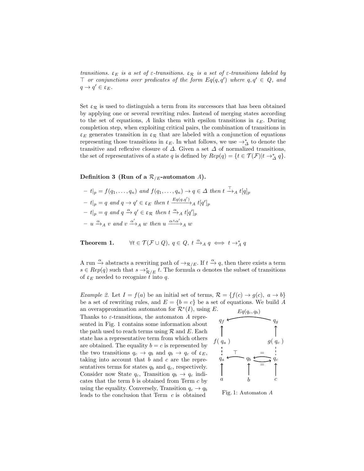transitions.  $\varepsilon_E$  is a set of  $\varepsilon$ -transitions.  $\varepsilon_{\mathcal{R}}$  is a set of  $\varepsilon$ -transitions labeled by  $\top$  or conjunctions over predicates of the form  $Eq(q,q')$  where  $q, q' \in Q$ , and  $q \to q' \in \varepsilon_E$ .

Set  $\varepsilon_R$  is used to distinguish a term from its successors that has been obtained by applying one or several rewriting rules. Instead of merging states according to the set of equations, A links them with epsilon transitions in  $\varepsilon_E$ . During completion step, when exploiting critical pairs, the combination of transitions in  $\varepsilon_E$  generates transition in  $\varepsilon_R$  that are labeled with a conjunction of equations representing those transitions in  $\varepsilon_E$ . In what follows, we use  $\rightarrow_{\Delta}^*$  to denote the transitive and reflexive closure of  $\Delta$ . Given a set  $\Delta$  of normalized transitions, the set of representatives of a state q is defined by  $Rep(q) = \{t \in \mathcal{T}(\mathcal{F}) | t \to^*_{\Delta} q\}.$ 

#### Definition 3 (Run of a  $\mathcal{R}_{\textit{E}}$ -automaton A).

$$
- t|_{p} = f(q_{1},..., q_{n}) \text{ and } f(q_{1},..., q_{n}) \rightarrow q \in \Delta \text{ then } t \xrightarrow{\top}_{A} t[q]_{p}
$$

$$
- t|_{p} = q \text{ and } q \rightarrow q' \in \varepsilon_{E} \text{ then } t \xrightarrow{Eq(q,q')}_{A} t[q']_{p}
$$

$$
- t|_{p} = q \text{ and } q \xrightarrow{\alpha} q' \in \varepsilon_{R} \text{ then } t \xrightarrow{\alpha} t[q']_{p}
$$

$$
- u \xrightarrow{\alpha} A v \text{ and } v \xrightarrow{\alpha'} A w \text{ then } u \xrightarrow{\alpha \wedge \alpha'} A w
$$

**Theorem 1.**  $\forall t \in \mathcal{T}(\mathcal{F} \cup Q), q \in Q, t \xrightarrow{\alpha} q \iff t \to_A^* q$ 

A run  $\stackrel{\alpha}{\to}$  abstracts a rewriting path of  $\to_{\mathcal{R}/E}$ . If  $t \stackrel{\alpha}{\to} q$ , then there exists a term  $s \in Rep(q)$  such that  $s \to_{\mathcal{R}/E}^* t$ . The formula  $\alpha$  denotes the subset of transitions of  $\varepsilon_E$  needed to recognize t into q.

*Example 2.* Let  $I = f(a)$  be an initial set of terms,  $\mathcal{R} = \{f(c) \rightarrow g(c), a \rightarrow b\}$ be a set of rewriting rules, and  $E = \{b = c\}$  be a set of equations. We build A an overapproximation automaton for  $\mathcal{R}^*(I)$ , using E.

Thanks to  $\varepsilon$ -transitions, the automaton A represented in Fig. 1 contains some information about the path used to reach terms using  $\mathcal R$  and  $E$ . Each state has a representative term from which others are obtained. The equality  $b = c$  is represented by the two transitions  $q_c \rightarrow q_b$  and  $q_b \rightarrow q_c$  of  $\varepsilon_E$ , taking into account that  $b$  and  $c$  are the representatives terms for states  $q_b$  and  $q_c$ , respectively. Consider now State  $q_c$ , Transition  $q_b \to q_c$  indicates that the term  $b$  is obtained from Term  $c$  by using the equality. Conversely, Transition  $q_c \rightarrow q_b$ leads to the conclusion that Term  $c$  is obtained



Fig. 1: Automaton A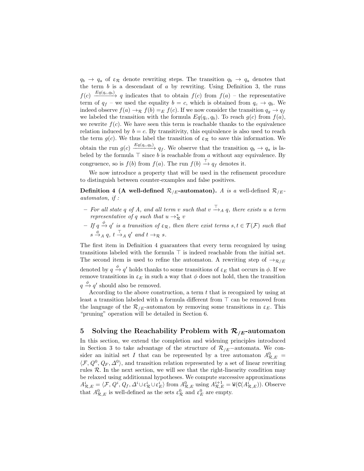$q_b \to q_a$  of  $\varepsilon_{\mathcal{R}}$  denote rewriting steps. The transition  $q_b \to q_a$  denotes that the term  $b$  is a descendant of  $a$  by rewriting. Using Definition 3, the runs  $f(c) \xrightarrow{Eq(q_c,q_b)} q$  indicates that to obtain  $f(c)$  from  $f(a)$  – the representative term of  $q_f$  – we used the equality  $b = c$ , which is obtained from  $q_c \rightarrow q_b$ . We indeed observe  $f(a) \rightarrow_{\mathcal{R}} f(b) =_E f(c)$ . If we now consider the transition  $q_g \rightarrow q_f$ we labeled the transition with the formula  $Eq(q_c, q_b)$ . To reach  $g(c)$  from  $f(a)$ , we rewrite  $f(c)$ . We have seen this term is reachable thanks to the equivalence relation induced by  $b = c$ . By transitivity, this equivalence is also used to reach the term  $g(c)$ . We thus label the transition of  $\varepsilon_{\mathcal{R}}$  to save this information. We obtain the run  $g(c) \xrightarrow{Eq(q_c,q_b)} q_f$ . We observe that the transition  $q_b \to q_a$  is labeled by the formula  $\top$  since b is reachable from a without any equivalence. By congruence, so is  $f(b)$  from  $f(a)$ . The run  $f(b) \stackrel{\top}{\rightarrow} q_f$  denotes it.

We now introduce a property that will be used in the refinement procedure to distinguish between counter-examples and false positives.

**Definition 4 (A well-defined**  $\mathcal{R}_{/E}$ **-automaton).** A is a well-defined  $\mathcal{R}_{/E}$ automaton, if :

- − For all state q of A, and all term v such that  $v \stackrel{\top}{\rightarrow}_A q$ , there exists u a term representative of q such that  $u \rightarrow_{\mathcal{R}}^* v$
- $-$  If  $q \xrightarrow{\phi} q'$  is a transition of  $\varepsilon_{\mathcal{R}}$ , then there exist terms  $s,t \in \mathcal{T}(\mathcal{F})$  such that  $s \stackrel{\phi}{\rightarrow}_A q, t \stackrel{\top}{\rightarrow}_A q'$  and  $t \rightarrow_{\mathcal{R}} s$ .

The first item in Definition 4 guarantees that every term recognized by using transitions labeled with the formula  $\top$  is indeed reachable from the initial set. The second item is used to refine the automaton. A rewriting step of  $\rightarrow_{\mathcal{R}/E}$ denoted by  $q \xrightarrow{\phi} q'$  holds thanks to some transitions of  $\varepsilon_E$  that occurs in  $\phi$ . If we remove transitions in  $\varepsilon_E$  in such a way that  $\phi$  does not hold, then the transition  $q \stackrel{\phi}{\rightarrow} q'$  should also be removed.

According to the above construction, a term  $t$  that is recognized by using at least a transition labeled with a formula different from  $\top$  can be removed from the language of the  $\mathcal{R}_{/E}$ -automaton by removing some transitions in  $\varepsilon_E$ . This "pruning" operation will be detailed in Section 6.

## 5 Solving the Reachability Problem with  $\mathcal{R}_{/E}$ -automaton

In this section, we extend the completion and widening principles introduced in Section 3 to take advantage of the structure of  $\mathcal{R}_{/E}$ −automata. We consider an initial set I that can be represented by a tree automaton  $A_{\mathcal{R},E}^0$  =  $\langle \mathcal{F}, Q^0, Q_F, \Delta^0 \rangle$ , and transition relation represented by a set of linear rewriting rules  $R$ . In the next section, we will see that the right-linearity condition may be relaxed using additionnal hypotheses. We compute successive approximations  $A_{\mathcal{R},E}^i = \langle \mathcal{F}, Q^i, Q_f, \Delta^i \cup \varepsilon_{\mathcal{R}}^i \cup \varepsilon_{E}^i \rangle$  from  $A_{\mathcal{R},E}^0$  using  $A_{\mathcal{R},E}^{i+1} = \mathbf{W}(\mathbf{C}(A_{\mathcal{R},E}^i))$ . Observe that  $A^0_{\mathcal{R},E}$  is well-defined as the sets  $\varepsilon^0_{\mathcal{R}}$  and  $\varepsilon^0_{E}$  are empty.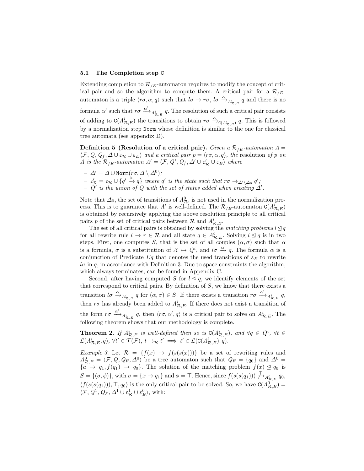#### 5.1 The Completion step C

Extending completion to  $\mathcal{R}_{/E}$ -automaton requires to modify the concept of critical pair and so the algorithm to compute them. A critical pair for a  $\mathcal{R}_{/E}$ automaton is a triple  $\langle r\sigma, \alpha, q \rangle$  such that  $l\sigma \to r\sigma$ ,  $l\sigma \xrightarrow{\alpha} A^i_{\mathcal{R},E} q$  and there is no formula  $\alpha'$  such that  $r\sigma \stackrel{\alpha'}{\longrightarrow}_{A_{\mathcal{R},E}^i} q$ . The resolution of such a critical pair consists of adding to  $C(A_{\mathcal{R},E}^i)$  the transitions to obtain  $r\sigma \xrightarrow{\alpha} C(A_{\mathcal{R},E}^i) q$ . This is followed by a normalization step Norm whose definition is similar to the one for classical tree automata (see appendix D).

**Definition 5** (Resolution of a critical pair). Given a  $\mathcal{R}_{E}$ -automaton A =  $\langle \mathcal{F}, Q, Q_f, \Delta \cup \varepsilon_{\mathcal{R}} \cup \varepsilon_{E} \rangle$  and a critical pair  $p = \langle r\sigma, \alpha, q \rangle$ , the resolution of p on A is the  $\mathcal{R}_{/E}$ -automaton  $A' = \langle \mathcal{F}, Q', Q_f, \Delta' \cup \varepsilon_{\mathcal{R}}' \cup \varepsilon_{E} \rangle$  where

 $- \varDelta' = \varDelta \cup \texttt{Norm}(r\sigma, \varDelta \setminus \varDelta^0);$  $\mathcal{L} = \varepsilon_{\mathcal{R}} \cup \{q' \stackrel{\alpha}{\to} q\}$  where q' is the state such that  $r\sigma \to_{\Delta' \setminus \Delta_0} q'$ ;  $-$  Q' is the union of Q with the set of states added when creating  $\Delta'$ .

Note that  $\Delta_0$ , the set of transitions of  $A_{\mathcal{R}}^0$ , is not used in the normalization process. This is to guarantee that A' is well-defined. The  $\mathcal{R}_{/E}$ -automaton  $C(A^i_{\mathcal{R},E})$ is obtained by recursively applying the above resolution principle to all critical pairs p of the set of critical pairs between  $\mathcal{R}$  and  $A_{\mathcal{R},E}^i$ .

The set of all critical pairs is obtained by solving the matching problems  $l \leq q$ for all rewrite rule  $l \to r \in \mathcal{R}$  and all state  $q \in \tilde{A}_{\mathcal{R},E}^i$ . Solving  $l \leq q$  is in two steps. First, one computes S, that is the set of all couples  $(\alpha, \sigma)$  such that  $\alpha$ is a formula,  $\sigma$  is a substitution of  $\mathcal{X} \mapsto Q^i$ , and  $l\sigma \stackrel{\alpha}{\rightarrow} q$ . The formula  $\alpha$  is a conjunction of Predicate  $Eq$  that denotes the used transitions of  $\varepsilon_E$  to rewrite  $l\sigma$  in q, in accordance with Definition 3. Due to space constraints the algorithm, which always terminates, can be found in Appendix C.

Second, after having computed S for  $l \leq q$ , we identify elements of the set that correspond to critical pairs. By definition of  $S$ , we know that there exists a transition  $l\sigma \xrightarrow{\alpha}_{A_{\mathcal{R},E}^i} q$  for  $(\alpha,\sigma) \in S$ . If there exists a transition  $r\sigma \xrightarrow{\alpha'}_{A_{\mathcal{R},E}^i} q$ , then  $r\sigma$  has already been added to  $A_{\mathcal{R},E}^i$ . If there does not exist a transition of the form  $r\sigma \stackrel{\alpha'}{\rightarrow}_{A_{\mathcal{R},E}^i} q$ , then  $\langle r\sigma, \alpha', q \rangle$  is a critical pair to solve on  $A_{\mathcal{R},E}^i$ . The following theorem shows that our methodology is complete.

**Theorem 2.** If  $A_{\mathcal{R},E}^i$  is well-defined then so is  $C(A_{\mathcal{R},E}^i)$ , and  $\forall q \in Q^i$ ,  $\forall t \in$  $\mathcal{L}(A_{\mathcal{R},E}^i, q), \forall t' \in \mathcal{T}(\mathcal{F}), t \rightarrow_{\mathcal{R}} t' \implies t' \in \mathcal{L}(\mathsf{C}(A_{\mathcal{R},E}^i), q).$ 

Example 3. Let  $\mathcal{R} = \{f(x) \rightarrow f(s(s(x)))\}$  be a set of rewriting rules and  $A_{\mathcal{R},E}^0 = \langle \mathcal{F}, Q, Q_F, \Delta^0 \rangle$  be a tree automaton such that  $Q_F = \{q_0\}$  and  $\Delta^0 =$  ${a \rightarrow q_1, f(q_1) \rightarrow q_0}$ . The solution of the matching problem  $f(x) \trianglelefteq q_0$  is  $S = \{(\sigma, \phi)\}\$ , with  $\sigma = \{x \to q_1\}$  and  $\phi = \top$ . Hence, since  $f(s(s(q_1))) \not\to_{A_{\mathcal{R},E}^0} q_0$ ,  $\langle f(s(s(q_1))), \top, q_0 \rangle$  is the only critical pair to be solved. So, we have  $C(A_{\mathcal{R},E}^0)$  =  $\langle \mathcal{F}, Q^1, Q_F, \Delta^1 \cup \varepsilon^1_{\mathcal{R}} \cup \varepsilon^0_E \rangle$ , with: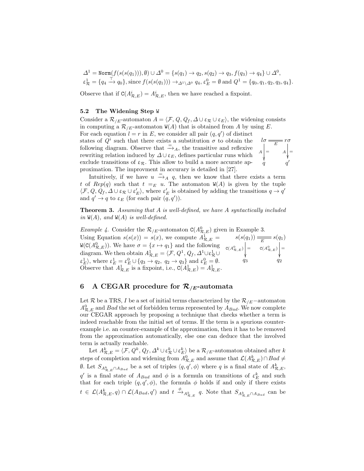$$
\Delta^1 = \text{Norm}(f(s(s(q_1))), \emptyset) \cup \Delta^0 = \{s(q_1) \to q_2, s(q_2) \to q_3, f(q_3) \to q_4\} \cup \Delta^0,
$$
  

$$
\varepsilon_R^1 = \{q_4 \xrightarrow{\top} q_0\}, \text{since } f(s(s(q_1))) \to_{\Delta^1 \setminus \Delta^0} q_4, \varepsilon_E^0 = \emptyset \text{ and } Q^1 = \{q_0, q_1, q_2, q_3, q_4\}.
$$

Observe that if  $C(A_{\mathcal{R},E}^i) = A_{\mathcal{R},E}^i$ , then we have reached a fixpoint.

#### 5.2 The Widening Step W

Consider a  $\mathcal{R}_{/E}$ -automaton  $A = \langle \mathcal{F}, Q, Q_f, \Delta \cup \varepsilon_{\mathcal{R}} \cup \varepsilon_{E} \rangle$ , the widening consists in computing a  $\mathcal{R}_{/E}$ -automaton  $W(A)$  that is obtained from A by using E. For each equation  $l = r$  in E, we consider all pair  $(q, q')$  of distinct states of  $Q<sup>i</sup>$  such that there exists a substitution  $\sigma$  to obtain the following diagram. Observe that  $\bar{=}$ <sub>A</sub>, the transitive and reflexive rewriting relation induced by  $\Delta \cup \varepsilon_E$ , defines particular runs which exclude transitions of  $\varepsilon_{\mathcal{R}}$ . This allow to build a more accurate approximation. The improvment in accurary is detailed in [27].  $l\sigma = \frac{E}{E}$  $A =$ ŗ  $A \mid$  =  $q'$  q'

rσ

ľ

Intuitively, if we have  $u \stackrel{=}{\rightarrow}_A q$ , then we know that there exists a term t of  $Rep(q)$  such that  $t =_E u$ . The automaton  $W(A)$  is given by the tuple  $\langle \mathcal{F}, Q, Q_f, \Delta \cup \varepsilon_{\mathcal{R}} \cup \varepsilon'_{E} \rangle$ , where  $\varepsilon'_{E}$  is obtained by adding the transitions  $q \to q'$ and  $q' \rightarrow q$  to  $\varepsilon_E$  (for each pair  $(q, q')$ ).

**Theorem 3.** Assuming that  $A$  is well-defined, we have  $A$  syntactically included in  $W(A)$ , and  $W(A)$  is well-defined.

*Example 4.* Consider the  $\mathcal{R}_{/E}$ -automaton  $C(A^0_{\mathcal{R},E})$  given in Example 3. Using Equation  $s(s(x)) = s(x)$ , we compute  $A_{\mathcal{R},E}^1$  =  $W(C(A^0_{\mathcal{R},E}))$ . We have  $\sigma = \{x \mapsto q_1\}$  and the following diagram. We then obtain  $A^1_{\mathcal{R},E} = \langle \mathcal{F}, Q^1, Q_f, \varDelta^1 \cup \varepsilon^1_{\mathcal{R}} \cup$  $\varepsilon_E^1$ , where  $\varepsilon_E^1 = \varepsilon_E^0 \cup \{q_3 \to q_2, q_2 \to q_3\}$  and  $\varepsilon_E^0 = \emptyset$ .  $s(s(q_1)) = s(q_1)$ E  $\mathsf{C}(A_{\mathcal{R},E}^0)\Big| = \mathsf{C}(A_{\mathcal{R},E}^0)\Big| =$ ľ ľ.  $q_3$   $q_2$ Observe that  $A^1_{\mathcal{R},E}$  is a fixpoint, i.e.,  $C(A^1_{\mathcal{R},E}) = A^1_{\mathcal{R},E}$ .

## 6 A CEGAR procedure for  $\mathcal{R}_{\textit{E}}$ -automata

Let R be a TRS, I be a set of initial terms characterized by the  $\mathcal{R}_{/E}$ −automaton  $A_{\mathcal{R},E}^0$  and Bad the set of forbidden terms represented by  $A_{Bad}$ . We now complete our CEGAR approach by proposing a technique that checks whether a term is indeed reachable from the initial set of terms. If the term is a spurious counterexample i.e. an counter-example of the approximation, then it has to be removed from the approximation automatically, else one can deduce that the involved term is actually reachable.

Let  $A^k_{\mathcal{R},E} = \langle \mathcal{F}, Q^k, Q_f, \Delta^k \cup \varepsilon^k_\mathcal{R} \cup \varepsilon^k_E \rangle$  be a  $\mathcal{R}_{/E}$ -automaton obtained after  $k$ steps of completion and widening from  $A^0_{\mathcal{R},E}$  and assume that  $\mathcal{L}(A^k_{\mathcal{R},E}) \cap Bad \neq$  $\emptyset$ . Let  $S_{A_{\mathcal{R}, E}^k \cap A_{Bad}}$  be a set of triples  $\langle q, q', \phi \rangle$  where q is a final state of  $A_{\mathcal{R}, E}^k$ , q' is a final state of  $A_{Bad}$  and  $\phi$  is a formula on transitions of  $\varepsilon_E^k$  and such that for each triple  $(q, q', \phi)$ , the formula  $\phi$  holds if and only if there exists  $t \in \mathcal{L}(A_{\mathcal{R},E}^k, q) \cap \mathcal{L}(A_{Bad}, q')$  and  $t \xrightarrow{\phi}_{A_{\mathcal{R},E}^k} q$ . Note that  $S_{A_{\mathcal{R},E}^k \cap A_{Bad}}$  can be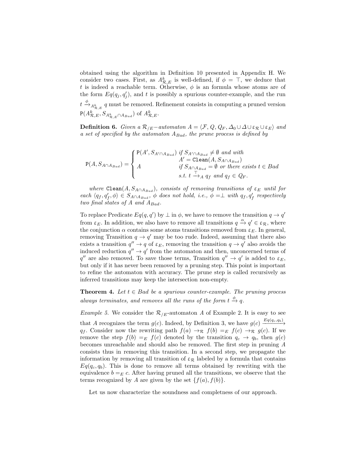obtained using the algorithm in Definition 10 presented in Appendix H. We consider two cases. First, as  $A_{\mathcal{R},E}^k$  is well-defined, if  $\phi = \top$ , we deduce that t is indeed a reachable term. Otherwise,  $\phi$  is an formula whose atoms are of the form  $Eq(q_j, q'_j)$ , and t is possibly a spurious counter-example, and the run  $t \xrightarrow{\phi}_{A_{\mathcal{R},E}^k} q$  must be removed. Refinement consists in computing a pruned version  $P(A^k_{\mathcal{R},E}, S_{A^k_{\mathcal{R},E} \cap A_{Bad}})$  of  $A^k_{\mathcal{R},E}$ .

**Definition 6.** Given a  $\mathcal{R}_{/E}$ -automaton  $A = \langle \mathcal{F}, Q, Q_F, \Delta_0 \cup \Delta \cup \varepsilon_{\mathcal{R}} \cup \varepsilon_{E} \rangle$  and a set of specified by the automaton  $A_{Bad}$ , the prune process is defined by

$$
\mathtt{P}(A, S_{A \cap A_{Bad}}) = \begin{cases} \mathtt{P}(A', S_{A' \cap A_{Bad}}) & \text{if } S_{A' \cap A_{Bad}} \neq \emptyset \text{ and with} \\ A' = \mathtt{Clean}(A, S_{A \cap A_{Bad}}) \\ A & \text{if } S_{A \cap A_{Bad}} = \emptyset \text{ or there exists } t \in Bad \\ s.t. \ t \xrightarrow{\top}_{A} q_f \text{ and } q_f \in Q_F. \end{cases}
$$

where Clean(A,  $S_{A \cap A_{Bad}}$ ), consists of removing transitions of  $\varepsilon_E$  until for each  $\langle q_f, q'_f, \phi \rangle \in S_{A \cap A_{Bad}}$ ,  $\phi$  does not hold, i.e.,  $\phi = \perp$  with  $q_f, q'_f$  respectively two final states of  $A$  and  $A_{Bad}$ .

To replace Predicate  $Eq(q, q')$  by  $\perp$  in  $\phi$ , we have to remove the transition  $q \to q'$ from  $\varepsilon_E$ . In addition, we also have to remove all transitions  $q \xrightarrow{\alpha} q' \in \varepsilon_{\mathcal{R}}$ , where the conjunction  $\alpha$  contains some atoms transitions removed from  $\varepsilon_E$ . In general, removing Transition  $q \to q'$  may be too rude. Indeed, assuming that there also exists a transition  $q'' \to q$  of  $\varepsilon_E$ , removing the transition  $q \to q'$  also avoids the induced reduction  $q'' \rightarrow q'$  from the automaton and then, unconcerned terms of q'' are also removed. To save those terms, Transition  $q'' \to q'$  is added to  $\varepsilon_E$ , but only if it has never been removed by a pruning step. This point is important to refine the automaton with accuracy. The prune step is called recursively as inferred transitions may keep the intersection non-empty.

**Theorem 4.** Let  $t \in Bad$  be a spurious counter-example. The pruning process always terminates, and removes all the runs of the form  $t \stackrel{\phi}{\to} q$ .

*Example 5.* We consider the  $\mathcal{R}_{\textit{E}}$ -automaton A of Example 2. It is easy to see that A recognizes the term  $g(c)$ . Indeed, by Definition 3, we have  $g(c) \xrightarrow{Eq(q_c,q_b)}$  $q_f$ . Consider now the rewriting path  $f(a) \rightarrow_R f(b) =_E f(c) \rightarrow_R g(c)$ . If we remove the step  $f(b) =_E f(c)$  denoted by the transition  $q_c \rightarrow q_b$ , then  $g(c)$ becomes unreachable and should also be removed. The first step in pruning A consists thus in removing this transition. In a second step, we propagate the information by removing all transition of  $\varepsilon_{\mathcal{R}}$  labeled by a formula that contains  $Eq(q_c, q_b)$ . This is done to remove all terms obtained by rewriting with the equivalence  $b =_{E} c$ . After having pruned all the transitions, we observe that the terms recognized by A are given by the set  $\{f(a), f(b)\}.$ 

Let us now characterize the soundness and completness of our approach.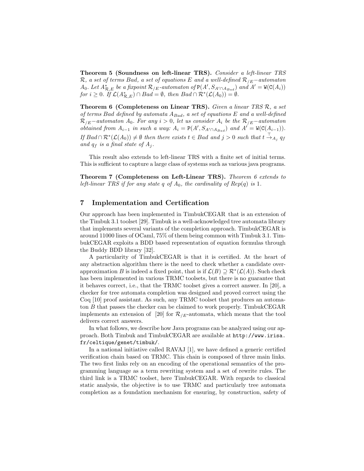Theorem 5 (Soundness on left-linear TRS). Consider a left-linear TRS R, a set of terms Bad, a set of equations E and a well-defined  $\mathcal{R}_{/E}-$ automaton A<sub>0</sub>. Let  $A_{\mathcal{R},E}^*$  be a fixpoint  $\mathcal{R}_{/E}$ -automaton of  $P(A', S_{A' \cap A_{Bad}})$  and  $A' = W(C(A_i))$ for  $i \geq 0$ . If  $\mathcal{L}(A_{\mathcal{R},E}^*) \cap Bad = \emptyset$ , then  $Bad \cap \mathcal{R}^*(\mathcal{L}(A_0)) = \emptyset$ .

**Theorem 6 (Completeness on Linear TRS).** Given a linear TRS  $\mathcal{R}$ , a set of terms Bad defined by automata  $A_{Bad}$ , a set of equations E and a well-defined  $\mathcal{R}_{/E}$ −automaton  $A_0$ . For any  $i > 0$ , let us consider  $A_i$  be the  $\mathcal{R}_{/E}$ −automaton obtained from  $A_{i-1}$  in such a way:  $A_i = P(A', S_{A' \cap A_{Bad}})$  and  $A' = W(C(A_{i-1})).$ If  $Bad \cap \mathcal{R}^*(\mathcal{L}(A_0)) \neq \emptyset$  then there exists  $t \in Bad$  and  $j > 0$  such that  $t \stackrel{\top}{\rightarrow}_{A_j} q_f$ and  $q_f$  is a final state of  $A_i$ .

This result also extends to left-linear TRS with a finite set of initial terms. This is sufficient to capture a large class of systems such as various java programs.

Theorem 7 (Completeness on Left-Linear TRS). Theorem 6 extends to left-linear TRS if for any state q of  $A_0$ , the cardinality of  $Rep(q)$  is 1.

## 7 Implementation and Certification

Our approach has been implemented in TimbukCEGAR that is an extension of the Timbuk 3.1 toolset [29]. Timbuk is a well-acknowledged tree automata library that implements several variants of the completion approach. TimbukCEGAR is around 11000 lines of OCaml, 75% of them being common with Timbuk 3.1. TimbukCEGAR exploits a BDD based representation of equation formulas through the Buddy BDD library [32].

A particularity of TimbukCEGAR is that it is certified. At the heart of any abstraction algorithm there is the need to check whether a candidate overapproximation B is indeed a fixed point, that is if  $\mathcal{L}(B) \supseteq \mathcal{R}^*(\mathcal{L}(A))$ . Such check has been implemented in various TRMC toolsets, but there is no guarantee that it behaves correct, i.e., that the TRMC toolset gives a correct answer. In [20], a checker for tree automata completion was designed and proved correct using the Coq [10] proof assistant. As such, any TRMC toolset that produces an automaton B that passes the checker can be claimed to work properly. TimbukCEGAR implements an extension of [20] for  $\mathcal{R}_{/E}$ -automata, which means that the tool delivers correct answers.

In what follows, we describe how Java programs can be analyzed using our approach. Both Timbuk and TimbukCEGAR are available at http://www.irisa. fr/celtique/genet/timbuk/.

In a national initiative called RAVAJ [1], we have defined a generic certified verification chain based on TRMC. This chain is composed of three main links. The two first links rely on an encoding of the operational semantics of the programming language as a term rewriting system and a set of rewrite rules. The third link is a TRMC toolset, here TimbukCEGAR. With regards to classical static analysis, the objective is to use TRMC and particularly tree automata completion as a foundation mechanism for ensuring, by construction, safety of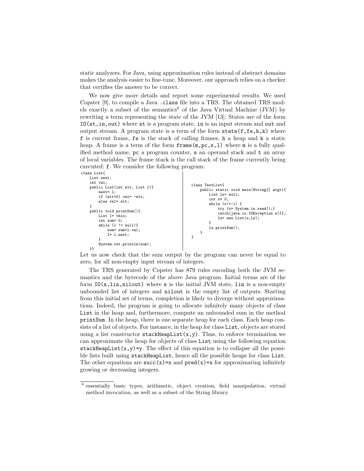static analyzers. For Java, using approximation rules instead of abstract domains makes the analysis easier to fine-tune. Moreover, our approach relies on a checker that certifies the answer to be correct.

We now give more details and report some experimental results. We used Copster [9], to compile a Java .class file into a TRS. The obtained TRS models exactly a subset of the semantics<sup>6</sup> of the Java Virtual Machine (JVM) by rewriting a term representing the state of the JVM [13]. States are of the form IO(st,in,out) where st is a program state, in is an input stream and out and output stream. A program state is a term of the form  $state(f,fs,h,k)$  where f is current frame, fs is the stack of calling frames, h a heap and k a static heap. A frame is a term of the form  $frame(m,pc,s,1)$  where m is a fully qualified method name, pc a program counter, s an operand stack and t an array of local variables. The frame stack is the call stack of the frame currently being executed: f. We consider the following program: class List{

```
List next;
int val;
public List(int elt, List l){
    next= l;
    if (elt<0) val= -elt;
    else val= elt;
}
public void printSum(){
    List l= this;
    int sum= 0;
    while (1 \mid \mathbf{r} = \text{null})sum= sum+l.val;
         l = 1.next;
     }
System.out.println(sum);
}}
                                                   class TestList{
                                                       public static void main(String[] argv){
                                                            List ls= null;
                                                            int x= 0;
                                                            while (x!=-1) {
                                                                try {x= System.in.read();}
                                                                catch(java.io.IOException e){};
                                                                ls = new List(x, ls):
                                                            }
ls.printSum();
                                                        }
                                                   }
```
Let us now check that the sum output by the program can never be equal to zero, for all non-empty input stream of integers.

The TRS generated by Copster has 879 rules encoding both the JVM semantics and the bytecode of the above Java program. Initial terms are of the form IO(s,lin,nilout) where s is the initial JVM state, lin is a non-empty unbounded list of integers and nilout is the empty list of outputs. Starting from this initial set of terms, completion is likely to diverge without approximations. Indeed, the program is going to allocate infinitely many objects of class List in the heap and, furthermore, compute an unbounded sum in the method printSum. In the heap, there is one separate heap for each class. Each heap consists of a list of objects. For instance, in the heap for class List, objects are stored using a list constructor  $stackHeapList(x,y)$ . Thus, to enforce termination we can approximate the heap for objects of class List using the following equation stackHeapList $(x,y)$ =y. The effect of this equation is to collapse all the possible lists built using stackHeapList, hence all the possible heaps for class List. The other equations are  $succ(x)=x$  and  $pred(x)=x$  for approximating infinitely growing or decreasing integers.

<sup>&</sup>lt;sup>6</sup> essentially basic types, arithmetic, object creation, field manipulation, virtual method invocation, as well as a subset of the String library.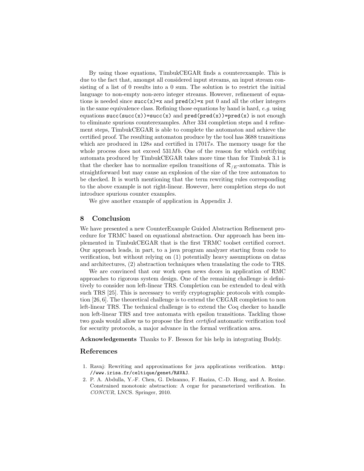By using those equations, TimbukCEGAR finds a counterexample. This is due to the fact that, amongst all considered input streams, an input stream consisting of a list of 0 results into a 0 sum. The solution is to restrict the initial language to non-empty non-zero integer streams. However, refinement of equations is needed since  $succ(x)=x$  and  $pred(x)=x$  put 0 and all the other integers in the same equivalence class. Refining those equations by hand is hard, e.g. using equations  $succ(succ(x))$ =succ(x) and  $pred(pred(x))$ =pred(x) is not enough to eliminate spurious counterexamples. After 334 completion steps and 4 refinement steps, TimbukCEGAR is able to complete the automaton and achieve the certified proof. The resulting automaton produce by the tool has 3688 transitions which are produced in 128s and certified in 17017s. The memory usage for the whole process does not exceed  $531Mb$ . One of the reason for which certifying automata produced by TimbukCEGAR takes more time than for Timbuk 3.1 is that the checker has to normalize epsilon transitions of  $\mathcal{R}_{/E}$ -automata. This is straightforward but may cause an explosion of the size of the tree automaton to be checked. It is worth mentioning that the term rewriting rules corresponding to the above example is not right-linear. However, here completion steps do not introduce spurious counter examples.

We give another example of application in Appendix J.

#### 8 Conclusion

We have presented a new CounterExample Guided Abstraction Refinement procedure for TRMC based on equational abstraction. Our approach has been implemented in TimbukCEGAR that is the first TRMC toolset certified correct. Our approach leads, in part, to a java program analyzer starting from code to verification, but without relying on (1) potentially heavy assumptions on datas and architectures, (2) abstraction techniques when translating the code to TRS.

We are convinced that our work open news doors in application of RMC approaches to rigorous system design. One of the remaining challenge is definitively to consider non left-linear TRS. Completion can be extended to deal with such TRS [25]. This is necessary to verify cryptographic protocols with completion [26, 6]. The theoretical challenge is to extend the CEGAR completion to non left-linear TRS. The technical challenge is to extend the Coq checker to handle non left-linear TRS and tree automata with epsilon transitions. Tackling those two goals would allow us to propose the first certified automatic verification tool for security protocols, a major advance in the formal verification area.

Acknowledgements Thanks to F. Besson for his help in integrating Buddy.

## References

- 1. Ravaj: Rewriting and approximations for java applications verification. http: //www.irisa.fr/celtique/genet/RAVAJ.
- 2. P. A. Abdulla, Y.-F. Chen, G. Delzanno, F. Haziza, C.-D. Hong, and A. Rezine. Constrained monotonic abstraction: A cegar for parameterized verification. In CONCUR, LNCS. Springer, 2010.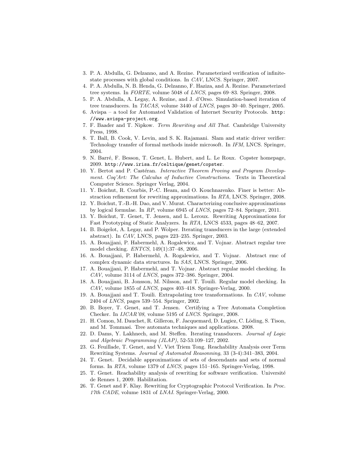- 3. P. A. Abdulla, G. Delzanno, and A. Rezine. Parameterized verification of infinitestate processes with global conditions. In CAV, LNCS. Springer, 2007.
- 4. P. A. Abdulla, N. B. Henda, G. Delzanno, F. Haziza, and A. Rezine. Parameterized tree systems. In FORTE, volume 5048 of LNCS, pages 69–83. Springer, 2008.
- 5. P. A. Abdulla, A. Legay, A. Rezine, and J. d'Orso. Simulation-based iteration of tree transducers. In TACAS, volume 3440 of LNCS, pages 30–40. Springer, 2005.
- 6. Avispa a tool for Automated Validation of Internet Security Protocols. http: //www.avispa-project.org.
- 7. F. Baader and T. Nipkow. Term Rewriting and All That. Cambridge University Press, 1998.
- 8. T. Ball, B. Cook, V. Levin, and S. K. Rajamani. Slam and static driver verifier: Technology transfer of formal methods inside microsoft. In IFM, LNCS. Springer, 2004.
- 9. N. Barr´e, F. Besson, T. Genet, L. Hubert, and L. Le Roux. Copster homepage, 2009. http://www.irisa.fr/celtique/genet/copster.
- 10. Y. Bertot and P. Castéran. *Interactive Theorem Proving and Program Develop*ment. Coq'Art: The Calculus of Inductive Constructions. Texts in Theoretical Computer Science. Springer Verlag, 2004.
- 11. Y. Boichut, R. Courbis, P.-C. Heam, and O. Kouchnarenko. Finer is better: Abstraction refinement for rewriting approximations. In RTA, LNCS. Springer, 2008.
- 12. Y. Boichut, T.-B.-H. Dao, and V. Murat. Characterizing conclusive approximations by logical formulae. In RP, volume 6945 of LNCS, pages 72–84. Springer, 2011.
- 13. Y. Boichut, T. Genet, T. Jensen, and L. Leroux. Rewriting Approximations for Fast Prototyping of Static Analyzers. In RTA, LNCS 4533, pages 48–62, 2007.
- 14. B. Boigelot, A. Legay, and P. Wolper. Iterating transducers in the large (extended abstract). In CAV, LNCS, pages 223–235. Springer, 2003.
- 15. A. Bouajjani, P. Habermehl, A. Rogalewicz, and T. Vojnar. Abstract regular tree model checking. ENTCS, 149(1):37–48, 2006.
- 16. A. Bouajjani, P. Habermehl, A. Rogalewicz, and T. Vojnar. Abstract rmc of complex dynamic data structures. In SAS, LNCS. Springer, 2006.
- 17. A. Bouajjani, P. Habermehl, and T. Vojnar. Abstract regular model checking. In CAV, volume 3114 of LNCS, pages 372–386. Springer, 2004.
- 18. A. Bouajjani, B. Jonsson, M. Nilsson, and T. Touili. Regular model checking. In CAV, volume 1855 of LNCS, pages 403–418. Springer-Verlag, 2000.
- 19. A. Bouajjani and T. Touili. Extrapolating tree transformations. In CAV, volume 2404 of LNCS, pages 539–554. Springer, 2002.
- 20. B. Boyer, T. Genet, and T. Jensen. Certifying a Tree Automata Completion Checker. In IJCAR'08, volume 5195 of LNCS. Springer, 2008.
- 21. H. Comon, M. Dauchet, R. Gilleron, F. Jacquemard, D. Lugiez, C. Löding, S. Tison, and M. Tommasi. Tree automata techniques and applications. 2008.
- 22. D. Dams, Y. Lakhnech, and M. Steffen. Iterating transducers. Journal of Logic and Algebraic Programming (JLAP), 52-53:109–127, 2002.
- 23. G. Feuillade, T. Genet, and V. Viet Triem Tong. Reachability Analysis over Term Rewriting Systems. Journal of Automated Reasonning, 33 (3-4):341–383, 2004.
- 24. T. Genet. Decidable approximations of sets of descendants and sets of normal forms. In RTA, volume 1379 of LNCS, pages 151–165. Springer-Verlag, 1998.
- 25. T. Genet. Reachability analysis of rewriting for software verification. Université de Rennes 1, 2009. Habilitation.
- 26. T. Genet and F. Klay. Rewriting for Cryptographic Protocol Verification. In Proc. 17th CADE, volume 1831 of LNAI. Springer-Verlag, 2000.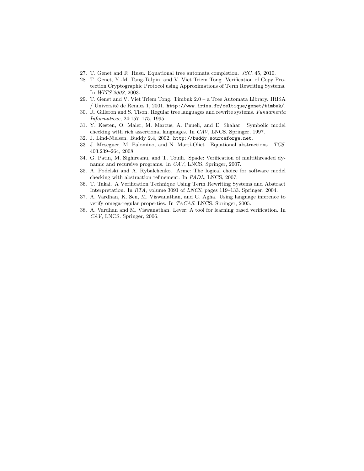- 27. T. Genet and R. Rusu. Equational tree automata completion. JSC, 45, 2010.
- 28. T. Genet, Y.-M. Tang-Talpin, and V. Viet Triem Tong. Verification of Copy Protection Cryptographic Protocol using Approximations of Term Rewriting Systems. In WITS'2003, 2003.
- 29. T. Genet and V. Viet Triem Tong. Timbuk 2.0 a Tree Automata Library. IRISA / Université de Rennes 1, 2001. http://www.irisa.fr/celtique/genet/timbuk/.
- 30. R. Gilleron and S. Tison. Regular tree languages and rewrite systems. Fundamenta Informaticae, 24:157–175, 1995.
- 31. Y. Kesten, O. Maler, M. Marcus, A. Pnueli, and E. Shahar. Symbolic model checking with rich assertional languages. In CAV, LNCS. Springer, 1997.
- 32. J. Lind-Nielsen. Buddy 2.4, 2002. http://buddy.sourceforge.net.
- 33. J. Meseguer, M. Palomino, and N. Martí-Oliet. Equational abstractions. TCS, 403:239–264, 2008.
- 34. G. Patin, M. Sighireanu, and T. Touili. Spade: Verification of multithreaded dynamic and recursive programs. In CAV, LNCS. Springer, 2007.
- 35. A. Podelski and A. Rybalchenko. Armc: The logical choice for software model checking with abstraction refinement. In PADL, LNCS, 2007.
- 36. T. Takai. A Verification Technique Using Term Rewriting Systems and Abstract Interpretation. In RTA, volume 3091 of LNCS, pages 119–133. Springer, 2004.
- 37. A. Vardhan, K. Sen, M. Viswanathan, and G. Agha. Using language inference to verify omega-regular properties. In TACAS, LNCS. Springer, 2005.
- 38. A. Vardhan and M. Viswanathan. Lever: A tool for learning based verification. In CAV, LNCS. Springer, 2006.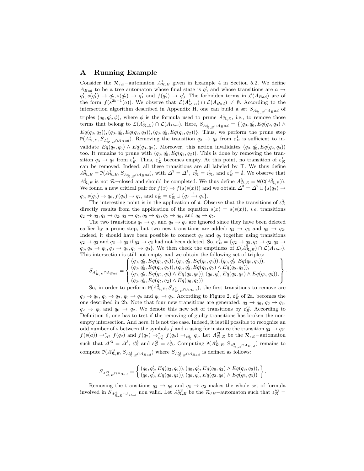#### A Running Example

Consider the  $\mathcal{R}_{/E}$ -automaton  $A^1_{\mathcal{R},E}$  given in Example 4 in Section 5.2. We define  $A_{Bad}$  to be a tree automaton whose final state is  $q'_0$  and whose transitions are  $a \rightarrow$  $q'_1, s(q'_1) \to q'_2, s(q'_2) \to q'_1$  and  $f(q'_2) \to q'_0$ . The forbidden terms in  $\mathcal{L}(A_{Bad})$  are of the form  $f(s^{2k+1}(a))$ . We observe that  $\mathcal{L}(A_{\mathcal{R},E}^1) \cap \mathcal{L}(A_{Bad}) \neq \emptyset$ . According to the intersection algorithm described in Appendix H, one can build a set  $S_{A_{\mathcal{R},E}^1 \cap A_B ad}$  of triples  $(q_0, q'_0, \phi)$ , where  $\phi$  is the formula used to prune  $A_{\mathcal{R},E}^1$ , i.e., to remove those terms that belong to  $\mathcal{L}(A^1_{\mathcal{R},E}) \cap \mathcal{L}(A_{Bad})$ . Here,  $S_{A^1_{\mathcal{R},E} \cap A_{Bad}} = \{(q_0, q'_0, Eq(q_2, q_3) \land$  $Eq(q_3, q_2)$ ,  $(q_0, q'_0, Eq(q_2, q_3))$ ,  $(q_0, q'_0, Eq(q_3, q_2))$ . Thus, we perform the prune step  $P(A_{\mathcal{R},E}^1, S_{A_{\mathcal{R},E}^1 \cap A_B ad})$ . Removing the transition  $q_2 \to q_3$  from  $\varepsilon_E^1$  is sufficient to invalidate  $Eq(q_2, q_3) \wedge Eq(q_3, q_2)$ . Moreover, this action invalidates  $(q_0, q'_0, Eq(q_2, q_3))$ too. It remains to prune with  $(q_0, q'_0, Eq(q_3, q_2))$ . This is done by removing the transition  $q_3 \to q_2$  from  $\varepsilon_E^1$ . Thus,  $\varepsilon_E^1$  becomes empty. At this point, no transition of  $\varepsilon_R^1$ can be removed. Indeed, all these transitions are all labeled by  $\top$ . We thus define  $A_{\mathcal{R},E}^2 = \mathbb{P}(A_{\mathcal{R},E}^1, S_{A_{\mathcal{R},E}^1 \cap A_Bad})$ , with  $\Delta^2 = \Delta^1$ ,  $\epsilon_{\mathcal{R}}^2 = \epsilon_{\mathcal{R}}^1$ , and  $\epsilon_E^2 = \emptyset$ . We observe that  $A_{\mathcal{R},E}^2$  is not  $\mathcal{R}-$ closed and should be completed. We thus define  $A_{\mathcal{R},E}^3 = W(C(A_{\mathcal{R},E}^2)).$ We found a new critical pair for  $f(x) \to f(s(s(x)))$  and we obtain  $\Delta^{3} = \Delta^2 \cup \{s(q_3) \to$  $q_5, s(q_5) \rightarrow q_6, f(q_6) \rightarrow q_7, \text{ and } \varepsilon^3_{\mathcal{R}} = \varepsilon^2_{\mathcal{R}} \cup \{q_7 \stackrel{\top}{\rightarrow} q_4\}.$ 

The interesting point is in the application of W. Observe that the transitions of  $\varepsilon_E^3$ directly results from the application of the equation  $s(x) = s(s(x))$ , *i.e.* transitions  $q_2 \to q_3, q_3 \to q_2, q_3 \to q_5, q_5 \to q_3, q_5 \to q_6$ , and  $q_6 \to q_5$ .

The two transitions  $q_2 \rightarrow q_3$  and  $q_3 \rightarrow q_2$  are ignored since they have been deleted earlier by a prune step, but two new transitions are added:  $q_2 \rightarrow q_5$  and  $q_5 \rightarrow q_2$ . Indeed, it should have been possible to connect  $q_2$  and  $q_5$  together using transitions  $q_2 \to q_3$  and  $q_3 \to q_5$  if  $q_2 \to q_3$  had not been deleted. So,  $\varepsilon_E^3 = \{q_2 \to q_5, q_5 \to q_2, q_5 \to q_6\}$  $q_6, q_6 \to q_5, q_3 \to q_5, q_5 \to q_3$ . We then check the emptiness of  $\mathcal{L}(A_{\mathcal{R},E}^3) \cap \mathcal{L}(A_{Bad})$ . This intersection is still not empty and we obtain the following set of triples:

$$
S_{A_{\mathcal{R},E}^{3}\cap A_{Bad}} = \begin{cases} (q_{0}, q_{0}', Eq(q_{3},q_{5})), (q_{0}, q_{0}', Eq(q_{5},q_{3})), (q_{0}, q_{0}', Eq(q_{5},q_{6})), \\ (q_{0}, q_{0}', Eq(q_{6},q_{5})), (q_{0}, q_{0}', Eq(q_{2},q_{5}) \wedge Eq(q_{5},q_{3})), \\ (q_{0}, q_{0}', Eq(q_{2},q_{5}) \wedge Eq(q_{5},q_{6})), (q_{0}, q_{0}', Eq(q_{5},q_{2}) \wedge Eq(q_{3},q_{5})), \\ (q_{0}, q_{0}', Eq(q_{5},q_{2}) \wedge Eq(q_{6},q_{5})) \end{cases}
$$

.

So, in order to perform  $P(A_{\mathcal{R},E}^3, S_{A_{\mathcal{R},E}^3 \cap A_{Bad}})$ , the first transitions to remove are  $q_3 \to q_5$ ,  $q_5 \to q_3$ ,  $q_5 \to q_6$  and  $q_6 \to q_5$ . According to Figure 2,  $\epsilon_E^3$  of 2a. becomes the one described in 2b. Note that four new transitions are generated:  $q_3 \rightarrow q_6$ ,  $q_6 \rightarrow q_3$ ,  $q_2 \rightarrow q_6$  and  $q_6 \rightarrow q_2$ . We denote this new set of transitions by  $\varepsilon_E^{\prime 3}$ . According to Definition 6, one has to test if the removing of guilty transitions has broken the nonempty intersection. And here, it is not the case. Indeed, it is still possible to recognize an odd number of s between the symbols f and a using for instance the transition  $q_2 \rightarrow q_6$ :  $f(s(a)) \to_{\Delta^3}^* f(q_2)$  and  $f(q_2) \to_{\varepsilon_{E}^3}^* f(q_6) \to_{\varepsilon_{\mathcal{R}}^3} q_0$ . Let  $A'^3_{\mathcal{R},E}$  be the  $\mathcal{R}_{/E}$ -automaton such that  $\Delta^{3} = \Delta^{3}$ ,  $\varepsilon_{E}^{3}$  and  $\varepsilon_{R}^{3} = \varepsilon_{R}^{3}$ . Computing  $P(A_{R,E}^{3}, S_{A_{R,E}^{3} \cap A_{Bad}})$  remains to compute  $P(A'^3_{\mathcal{R},E}, S_{A'^3_{\mathcal{R},E} \cap A_{Bad}})$  where  $S_{A'^3_{\mathcal{R},E} \cap A_{Bad}}$  is defined as follows:

$$
S_{A'^3_{\mathcal{R},E}\cap A_{Bad}} = \left\{ \begin{matrix} (q_0, q'_0, Eq(q_2, q_6)), (q_0, q'_0, Eq(q_6, q_2) \wedge Eq(q_3, q_6)), \\ (q_0, q'_0, Eq(q_6, q_2)), (q_0, q'_0, Eq(q_2, q_6) \wedge Eq(q_6, q_3)) \end{matrix} \right\}.
$$

Removing the transitions  $q_2 \rightarrow q_6$  and  $q_6 \rightarrow q_2$  makes the whole set of formula involved in  $S_{A'_{\mathcal{R},E}\cap A_{Bad}}$  non valid. Let  $A''_{\mathcal{R},E}$  be the  $\mathcal{R}_{/E}$ -automaton such that  $\varepsilon''^3_{\mathcal{R}}$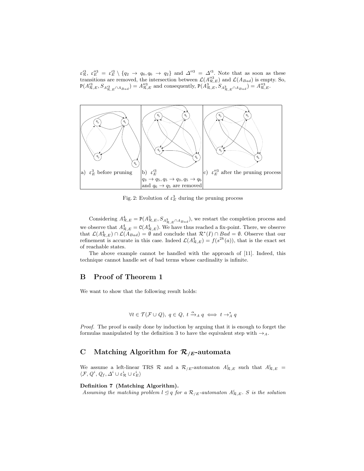$\varepsilon_{\mathcal{R}}'^3$ ,  $\varepsilon_{E}''^3 = \varepsilon_{E}^{\prime 3} \setminus \{q_2 \to q_6, q_6 \to q_2\}$  and  $\Delta^{\prime\prime 3} = \Delta^{\prime 3}$ . Note that as soon as these transitions are removed, the intersection between  $\mathcal{L}(A_{\mathcal{R},E}^{\prime\prime3})$  and  $\mathcal{L}(A_{Bad})$  is empty. So,  $P(A_{\mathcal{R},E}^{\prime 3}, S_{A_{\mathcal{R},E}^{\prime 3} \cap A_{Bad}}) = A_{\mathcal{R},E}^{\prime \prime 3}$  and consequently,  $P(A_{\mathcal{R},E}^3, S_{A_{\mathcal{R},E}^3 \cap A_{Bad}}) = A_{\mathcal{R},E}^{\prime \prime 3}$ .



Fig. 2: Evolution of  $\varepsilon_E^3$  during the pruning process

Considering  $A_{\mathcal{R},E}^4 = P(A_{\mathcal{R},E}^3, S_{A_{\mathcal{R},E}^3 \cap A_{Bad}})$ , we restart the completion process and we observe that  $A_{\mathcal{R},E}^4 = \mathbf{C}(A_{\mathcal{R},E}^4)$ . We have thus reached a fix-point. There, we observe that  $\mathcal{L}(A_{\mathcal{R},E}^4) \cap \mathcal{L}(A_{Bad}) = \emptyset$  and conclude that  $\mathcal{R}^*(I) \cap Bad = \emptyset$ . Observe that our refinement is accurate in this case. Indeed  $\mathcal{L}(A_{\mathcal{R},E}^4) = f(s^{2k}(a))$ , that is the exact set of reachable states.

The above example cannot be handled with the approach of [11]. Indeed, this technique cannot handle set of bad terms whose cardinality is infinite.

#### B Proof of Theorem 1

We want to show that the following result holds:

$$
\forall t \in \mathcal{T}(\mathcal{F} \cup Q), \ q \in Q, \ t \xrightarrow{\alpha} A \ q \iff t \to_A^* q
$$

Proof. The proof is easily done by induction by arguing that it is enough to forget the formulas manipulated by the definition 3 to have the equivalent step with  $\rightarrow_A$ .

## C Matching Algorithm for  $\mathcal{R}_{/E}$ -automata

We assume a left-linear TRS R and a  $\mathcal{R}_{/E}$ -automaton  $A_{\mathcal{R},E}^i$  such that  $A_{\mathcal{R},E}^i$  =  $\langle \mathcal{F}, \, Q^i, \, Q_f, \varDelta^i \cup \varepsilon^i_\mathcal{R} \cup \varepsilon^i_E \rangle$ 

#### Definition 7 (Matching Algorithm).

Assuming the matching problem  $l \leq q$  for a  $\mathcal{R}_{/E}$ -automaton  $A_{\mathcal{R},E}^i$ . S is the solution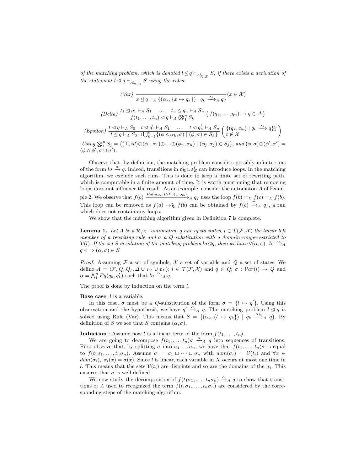of the matching problem, which is denoted  $l \trianglelefteq q \vdash_{A^i_{\mathcal{R},E}} S$ , if there exists a derivation of the statement  $l \leq q \vdash_{A^i_{\mathcal{R},E}} S$  using the rules:

$$
(Var) \frac{x \triangleleft q \vdash_A \{(\alpha_k, \{x \mapsto q_k\}) \mid q_k \xrightarrow{\alpha_k} A q\}}{(x \in \mathcal{X})}
$$
\n
$$
(Delta) \frac{t_1 \triangleleft q_1 \vdash_A S_1 \dots \vdash_t \alpha \triangleleft q_n \vdash_A S_n}{f(t_1, \dots, t_n) \triangleleft q \vdash_A \bigotimes_1^n S_k} (f(q_1, \dots, q_n) \to q \in \Delta)
$$
\n
$$
(Epsilon) \frac{t \triangleleft q \vdash_A S_0 \quad t \triangleleft q_1' \vdash_A S_1 \dots \vdash_t \triangleleft q_n' \vdash_A S_n}{t \triangleleft q \vdash_A S_0 \cup \bigcup_{k=1}^n \{(\phi \land \alpha_k, \sigma) \mid (\phi, \sigma) \in S_k\}} \left(\{ (q_k, \alpha_k) \mid q_k \xrightarrow{\alpha_k} q \}_{1}^n \right)\right)
$$
\n
$$
Using \bigotimes_1^n S_j = \{ (\top, id) \oplus (\phi_1, \sigma_1) \oplus \dots \oplus (\phi_n, \sigma_n) \mid (\phi_j, \sigma_j) \in S_j\}, and \ (\phi, \sigma) \oplus (\phi', \sigma') = (\phi \land \phi', \sigma \cup \sigma').
$$

Observe that, by definition, the matching problem considers possibly infinite runs of the form  $l\sigma \xrightarrow{\alpha} q$ . Indeed, transitions in  $\varepsilon_R^i \cup \varepsilon_E^i$  can introduce loops. In the matching algorithm, we exclude such runs. This is done to keep a finite set of rewriting path, which is computable in a finite amount of time. It is worth mentioning that removing loops does not influence the result. As an example, consider the automaton A of Example 2. We observe that  $f(b) \xrightarrow{Eq(q_b,q_c) \wedge Eq(q_c,q_b)} A q_f$  uses the loop  $f(b) =_E f(c) =_E f(b)$ . This loop can be removed as  $f(a) \to_{\mathcal{R}}^* f(b)$  can be obtained by  $f(b) \stackrel{\top}{\to}_A q_f$ , a run which does not contain any loops.

We show that the matching algorithm given in Definition 7 is complete.

**Lemma 1.** Let A be a  $\mathcal{R}_{/E}$ -automaton, q one of its states,  $l \in \mathcal{T}(\mathcal{F}, \mathcal{X})$  the linear left member of a rewriting rule and  $\sigma$  a Q-substitution with a domain range-restricted to  $V(l)$ . If the set S is solution of the matching problem  $l\sigma \trianglelefteq q$ , then we have  $\forall (\alpha, \sigma)$ ,  $l\sigma \stackrel{\alpha}{\rightarrow} A$  $q \Longleftrightarrow (\alpha, \sigma) \in S$ 

*Proof.* Assuming  $\mathcal F$  a set of symbols,  $\mathcal X$  a set of variable and  $Q$  a set of states. We define  $A = \langle \mathcal{F}, Q, Q_f, \Delta \cup \varepsilon_{\mathcal{R}} \cup \varepsilon_{E} \rangle; l \in \mathcal{T}(\mathcal{F}, \mathcal{X})$  and  $q \in Q; \sigma : \mathcal{V}ar(l) \to Q$  and  $\alpha = \bigwedge_{1}^{n} Eq(q_k, q'_k)$  such that  $l\sigma \xrightarrow{\alpha} A q$ .

The proof is done by induction on the term  $l$ .

#### **Base case:**  $l$  is a variable.

In this case,  $\sigma$  must be a Q-substitution of the form  $\sigma = \{l \mapsto q'\}$ . Using this observation and the hypothesis, we have  $q' \xrightarrow{\alpha} q$ . The matching problem  $l \leq q$  is solved using Rule (Var). This means that  $S = \{(\alpha_k, \{l \mapsto q_k\}) \mid q_k \stackrel{\alpha_k}{\longrightarrow}_A q\}.$  By definition of S we see that S contains  $(\alpha, \sigma)$ .

**Induction** : Assume now l is a linear term of the form  $f(t_1, \ldots, t_n)$ .

We are going to decompose  $f(t_1,...,t_n)\sigma \stackrel{\alpha}{\rightarrow}_A q$  into sequences of transitions. First observe that, by splitting  $\sigma$  into  $\sigma_1 \ldots \sigma_n$ , we have that  $f(t_1, \ldots, t_n) \sigma$  is equal to  $f(t_1\sigma_1,\ldots,t_n\sigma_n)$ . Assume  $\sigma = \sigma_1 \sqcup \cdots \sqcup \sigma_n$  with  $dom(\sigma_i) = V(t_i)$  and  $\forall x \in$  $dom(\sigma_i), \sigma_i(x) = \sigma(x)$ . Since l is linear, each variable in X occurs at most one time in l. This means that the sets  $V(t_i)$  are disjoints and so are the domains of the  $\sigma_i$ . This ensures that  $\sigma$  is well-defined.

We now study the decomposition of  $f(t_1\sigma_1,\ldots,t_n\sigma_n) \xrightarrow{\alpha} q$  to show that transitions of A used to recognized the term  $f(t_1\sigma_1, \ldots, t_n\sigma_n)$  are considered by the corresponding steps of the matching algorithm.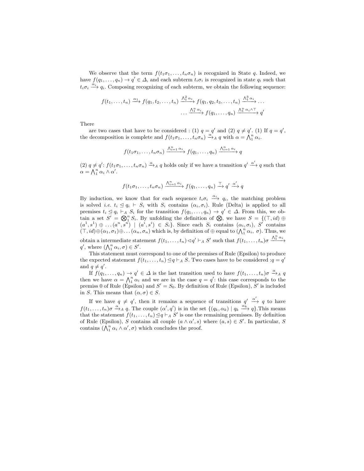We observe that the term  $f(t_1\sigma_1,\ldots,t_n\sigma_n)$  is recognized in State q. Indeed, we have  $f(q_1,\ldots,q_n) \to q' \in \Delta$ , and each subterm  $t_i \sigma_i$  is recognized in state  $q_i$  such that  $t_i\sigma_i \stackrel{\alpha_i}{\longrightarrow} q_i$ . Composing recognizing of each subterm, we obtain the following sequence:

$$
f(t_1,\ldots,t_n) \xrightarrow{\alpha_1} f(q_1,t_2,\ldots,t_n) \xrightarrow{\Lambda_1^2 \alpha_i} f(q_1,q_2,t_3,\ldots,t_n) \xrightarrow{\Lambda_1^3 \alpha_i} \ldots
$$

$$
\ldots \xrightarrow{\Lambda_1^n \alpha_i} f(q_1,\ldots,q_n) \xrightarrow{\Lambda_1^n \alpha_i \wedge \top} q'
$$

There

are two cases that have to be considered : (1)  $q = q'$  and (2)  $q \neq q'$ . (1) If  $q = q'$ , the decomposition is complete and  $f(t_1\sigma_1,\ldots,t_n\sigma_n) \stackrel{\alpha^*}{\rightarrow}_A q$  with  $\alpha = \bigwedge_{i=1}^n \alpha_i$ .

$$
f(t_1\sigma_1,\ldots,t_n\sigma_n)\xrightarrow{\bigwedge_{i=1}^n\alpha_i}f(q_1,\ldots,q_n)\xrightarrow{\bigwedge_{i=1}^n\alpha_i}q
$$

(2)  $q \neq q'$ :  $f(t_1\sigma_1,\ldots,t_n\sigma_n) \xrightarrow{\alpha} q$  holds only if we have a transition  $q' \xrightarrow{\alpha'} q$  such that  $\alpha = \bigwedge_{1}^{n} \alpha_{i} \wedge \alpha'.$ 

$$
f(t_1\sigma_1,\ldots,t_n\sigma_n)\xrightarrow{\Lambda_{i=1}^n\alpha_i}f(q_1,\ldots,q_n)\xrightarrow{\top}q'\xrightarrow{\alpha'}q
$$

By induction, we know that for each sequence  $t_i \sigma_i \stackrel{\alpha_i}{\longrightarrow} q_i$ , the matching problem is solved *i.e.*  $t_i \leq q_i \vdash S_i$  with  $S_i$  contains  $(\alpha_i, \sigma_i)$ . Rule (Delta) is applied to all premises  $t_i \leq q_i \vdash_A S_i$  for the transition  $f(q_1, \ldots, q_n) \to q' \in \Delta$ . From this, we obtain a set  $S' = \bigotimes_1^n S_i$ . By unfolding the definition of  $\bigotimes$ , we have  $S = \{(\top, id) \oplus$  $(a^1, s^1) \oplus \ldots (a^n, s^n) \mid (a^i, s^i) \in S_i$ . Since each  $S_i$  contains  $(\alpha_i, \sigma_i)$ , S' contains  $(\top, id) \oplus (\alpha_1, \sigma_1) \oplus \ldots (\alpha_n, \sigma_n)$  which is, by definition of  $\oplus$  equal to  $(\bigwedge_1^n \alpha_i, \sigma)$ . Thus, we obtain a intermediate statement  $f(t_1, \ldots, t_n) \triangleleft q' \vdash_A S'$  such that  $f(t_1, \ldots, t_n) \sigma \xrightarrow{\Lambda_1^n \alpha_i}$ q', where  $(\bigwedge_{1}^{n} \alpha_i, \sigma) \in S'.$ 

This statement must correspond to one of the premises of Rule (Epsilon) to produce the expected statement  $f(t_1, \ldots, t_n) \trianglelefteq q \vdash_A S$ . Two cases have to be considered : $q = q'$ and  $q \neq q'$ .

If  $f(q_1,\ldots,q_n) \to q' \in \Delta$  is the last transition used to have  $f(t_1,\ldots,t_n)\sigma \xrightarrow{\alpha} q$ then we have  $\alpha = \bigwedge_{i=1}^{n} \alpha_i$  and we are in the case  $q = q'$ : this case corresponds to the premiss 0 of Rule (Epsilon) and  $S' = S_0$ . By definition of Rule (Epsilon), S' is included in S. This means that  $(\alpha, \sigma) \in S$ .

If we have  $q \neq q'$ , then it remains a sequence of transitions  $q' \stackrel{\alpha'}{\longrightarrow} q$  to have  $f(t_1,\ldots,t_n)\sigma \stackrel{\alpha}{\to}_A q$ . The couple  $(\alpha',q')$  is in the set  $\{(q_k,\alpha_k) \mid q_k \stackrel{\alpha_k}{\longrightarrow} q\}$ . This means that the statement  $f(t_1, \ldots, t_n) \leq q \vdash_A S'$  is one the remaining premisses. By definition of Rule (Epsilon), S contains all couple  $(a \wedge \alpha', s)$  where  $(a, s) \in S'$ . In particular, S contains  $(\bigwedge_{1}^{n} \alpha_i \wedge \alpha', \sigma)$  which concludes the proof.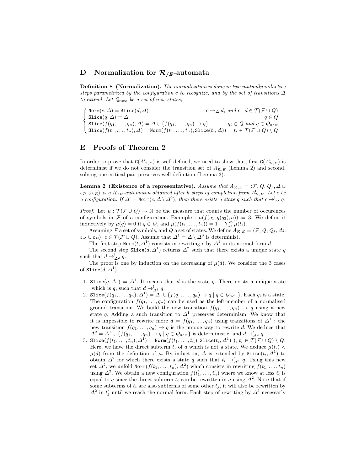#### D Normalization for  $\mathcal{R}_{/E}$ -automata

Definition 8 (Normalization). The normalization is done in two mutually inductive steps parametrized by the configuration c to recognize, and by the set of transitions  $\Delta$ to extend. Let  $Q_{new}$  be a set of new states,

 $\sqrt{ }$  $\int$  $\mathbf{I}$ Norm $(c, \Delta) = \texttt{Slice}(d, \Delta)$  c →  $\Delta$  d, and  $c, d \in \mathcal{T}(\mathcal{F} \cup Q)$  $\texttt{Slice}(q,\Delta)=\Delta$  q ∈ Q  $\texttt{Slice}(f(q_1, \ldots, q_n), \varDelta) = \varDelta \cup \{f(q_1, \ldots, q_n) \rightarrow q\} \hspace{1cm} q_i \in Q \hspace{1cm} and \hspace{1cm} q \in Q_{new}$ Slice $(f(t_1, \ldots, t_n), \Delta) = \text{Norm}(f(t_1, \ldots, t_n), \text{Slice}(t_i, \Delta))$   $t_i \in \mathcal{T}(\mathcal{F} \cup Q) \setminus Q$ 

#### E Proofs of Theorem 2

In order to prove that  $C(A_{\mathcal{R},E}^i)$  is well-defined, we need to show that, first  $C(A_{\mathcal{R},E}^i)$  is determinist if we do not consider the transition set of  $A_{\mathcal{R},E}^i$  (Lemma 2) and second, solving one critical pair preserves well-definition (Lemma 3).

Lemma 2 (Existence of a representative). Assume that  $A_{\mathcal{R},E} = \langle \mathcal{F}, Q, Q_f, \Delta \cup \mathcal{F} \rangle$  $\epsilon_{\cal R} \cup \epsilon_E$ ) is a  ${\cal R}_{/E}$ -automaton obtained after k steps of completion from  $A^0_{{\cal R},E}$ . Let  $c$  be a configuration. If  $\Delta' = \text{Norm}(c, \Delta \setminus \Delta^0)$ , then there exists a state q such that  $c \rightarrow_{\Delta'}^! q$ .

*Proof.* Let  $\mu : \mathcal{T}(\mathcal{F} \cup Q) \to \mathbb{N}$  be the measure that counts the number of occurences of symbols in F of a configuration. Example :  $\mu(f(q_1, g(q_2), a)) = 3$ . We define it inductively by  $\mu(q) = 0$  if  $q \in Q$ , and  $\mu(f(t_1, \ldots, t_n)) = 1 + \sum_{i=1}^{n} \mu(t_i)$ .

Assuming F a set of symbols, and Q a set of states. We define  $A_{\mathcal{R},E} = \langle \mathcal{F}, Q, Q_f, \Delta \cup \mathcal{F} \rangle$  $\varepsilon_{\mathcal{R}} \cup \varepsilon_{E}$ ;  $c \in \mathcal{T}(\mathcal{F} \cup Q)$ . Assume that  $\Delta^1 = \Delta \setminus \Delta^0$  is determinist.

The first step Norm $(t, \Delta^1)$  consists in rewriting c by  $\Delta^1$  in its normal form d

The second step  $\text{Slice}(d, \Delta^1)$  returns  $\Delta^2$  such that there exists a unique state q such that  $d \rightarrow_{\Delta^2}^! q$ .

The proof is one by induction on the decreasing of  $\mu(d)$ . We consider the 3 cases of Slice $(d, \varDelta^1)$ 

- 1. Slice $(q, \Delta^1) = \Delta^1$ . It means that d is the state q. There exists a unique state which is q, such that  $d \rightarrow_{\Delta^1}^! q$ .
- 2. Slice $(f(q_1,\ldots,q_n),\Delta^1)=\overline{\Delta^1}\cup\{f(q_1,\ldots,q_n)\to q\mid q\in Q_{new}\}.$  Each  $q_i$  is a state. The configuration  $f(q_1, \ldots, q_n)$  can be used as the left-member of a normalised ground transition. We build the new transition  $f(q_1, \ldots, q_n) \rightarrow q$  using a new state q. Adding a such transition to  $\Delta^1$  preserves determinism. We know that it is impossible to rewrite more  $d = f(q_1, \ldots, q_n)$  using transitions of  $\Delta^1$ : the new transition  $f(q_1, \ldots, q_n) \to q$  is the unique way to rewrite d. We deduce that  $\Delta^2 = \Delta^1 \cup \{f(q_1,\ldots,q_n) \to q \mid q \in Q_{new}\}\$ is deterministic, and  $d \to_{\Delta^2}^! q$ .
- $3. \ \ \texttt{Slice}(f(t_1, \ldots, t_n), \varDelta^1) = \texttt{Norm}(f(t_1, \ldots, t_n), \texttt{Slice}(t_i, \varDelta^1) \), \, t_i \in \mathcal{T(F \cup Q)} \setminus Q.$ Here, we have the direct subterm  $t_i$  of d which is not a state. We deduce  $\mu(t_i)$  <  $\mu(d)$  from the definition of  $\mu$ . By induction,  $\Delta$  is extended by Slice $(t_i, \Delta^1)$  to obtain  $\Delta^2$  for which there exists a state q such that  $t_i \rightarrow_{\Delta^2}^! q$ . Using this new set  $\Delta^2$ , we unfold Norm $(f(t_1,\ldots,t_n),\Delta^2)$  which consists in rewriting  $f(t_1,\ldots,t_n)$ using  $\Delta^2$ . We obtain a new configuration  $f(t'_1, \ldots, t'_n)$  where we know at less  $t'_i$  is equal to q since the direct subterm  $t_i$  can be rewritten in q using  $\Delta^2$ . Note that if some subterms of  $t_i$  are also subterms of some other  $t_j$ , it will also be rewritten by  $\Delta^2$  in  $t'_j$  until we reach the normal form. Each step of rewriting by  $\Delta^2$  necessarly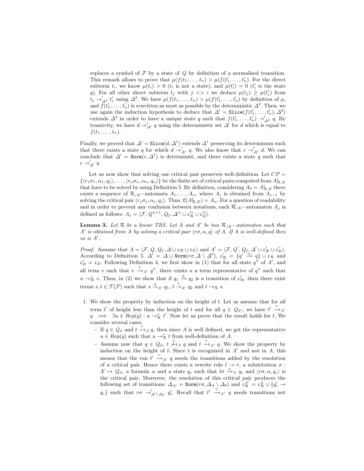replaces a symbol of  $\mathcal F$  by a state of  $Q$  by definition of a normalised transition. This remark allows to prove that  $\mu(f(t_1,\ldots,t_n) > \mu(f(t'_1,\ldots,t'_n))$ . For the direct subterm  $t_i$ , we know  $\mu(t_i) > 0$  ( $t_i$  is not a state), and  $\mu(t'_i) = 0$  ( $t'_i$  is the state q). For all other direct subterm  $t_j$  with  $j \iff i$  we deduce  $\mu(t_j) \geq \mu(t'_j)$  from  $t_j \rightarrow_{\Delta^2}^l t'_j$  using  $\Delta^2$ . We have  $\mu(f(t_1,\ldots,t_n) > \mu(f(t'_1,\ldots,t'_n))$  by definition of  $\mu$ , and  $\overline{f}(t'_1,\ldots,t'_n)$  is rewritten as most as possible by the deterministic  $\Delta^2$ . Then, we use again the induction hypothesis to deduce that  $\Delta' = \texttt{Slice}(f(t'_1, \ldots, t'_n), \Delta^2)$ extends  $\Delta^2$  in order to have a unique state q such that  $f(t'_1, \ldots, t'_n) \rightarrow_{\Delta^3}^1 q$ . By transivity, we have  $d \rightarrow_{\Delta'}^! q$  using the deterministic set  $\Delta'$  for d which is equal to  $f(t_1,\ldots,t_n).$ 

Finally, we proved that  $\Delta' = \texttt{Slice}(d, \Delta^1)$  extends  $\Delta^1$  preserving its determinism such that there exists a state q for which  $d \to_{\Delta'}^! q$ . We also know that  $c \to_{\Delta'}^! d$ . We can conclude that  $\Delta' = \text{Norm}(c, \Delta^1)$  is determinist, and there exists a state q such that  $c \rightarrow_{\Delta'}^! q$ .

Let us now show that solving one critical pair preserves well-definition. Let  $CP =$  $\{\langle r_1\sigma_1,\alpha_1,q_1\rangle,\ldots,\langle r_n\sigma_n,\alpha_n,q_n\rangle\}$  be the finite set of critical pairs computed from  $A_{\mathcal{R},E}^i$ that have to be solved by using Definition 5. By definition, considering  $A_0 = A_{\mathcal{R},E}^i$  there exists a sequence of  $\mathcal{R}_{/E}$ −automata  $A_1, \ldots, A_n$ , where  $A_j$  is obtained from  $A_{j-1}$  by solving the critical pair  $\langle r_j \sigma_j , \alpha_j , q_j \rangle$ . Thus,  $C(A^i_{\mathcal{R},E}) = A_n$ . For a question of readability and in order to prevent any confusion between notations, each  $\mathcal{R}_{/E}$ −automaton  $A_j$  is defined as follows:  $A_j = \langle \mathcal{F}, Q^{n+1}, Q_f, \Delta'^j \cup \varepsilon'^j_{\mathcal{R}} \cup \varepsilon'^j_{E} \rangle.$ 

**Lemma 3.** Let R be a linear TRS. Let A and A' be two  $\mathcal{R}_{/E}$ -automaton such that A' is obtained from A by solving a critical pair  $\langle r\sigma, \alpha, q \rangle$  of A. If A is well-defined then so is  $A'$ .

Proof. Assume that  $A = \langle \mathcal{F}, Q, Q_f, \Delta \cup \varepsilon_R \cup \varepsilon_E \rangle$  and  $A' = \langle \mathcal{F}, Q', Q_f, \Delta' \cup \varepsilon_R' \cup \varepsilon_E' \rangle$ . According to Definition 5,  $\Delta' = \Delta \cup \text{Norm}(r\sigma, \Delta \setminus \Delta^0)$ ,  $\varepsilon'_R = \{q' \stackrel{\alpha}{\rightarrow} q\} \cup \varepsilon_R$  and  $\varepsilon_E' = \varepsilon_E$ . Following Definition 4, we first show in (1) that for all state  $q''$  of A', and all term v such that  $v \xrightarrow{\top}_{A'} q''$ , there exists u a term representative of  $q''$  such that  $u \to_{\mathcal{R}}^* v$ . Then, in (2) we show that if  $q_1 \xrightarrow{\phi} q_2$  is a transition of  $\varepsilon_{\mathcal{R}}'$ , then there exist terms  $s, t \in \mathcal{T}(\mathcal{F})$  such that  $s \stackrel{\phi}{\to}_{A'} q_1, t \stackrel{\top}{\to}_{A'} q_2$  and  $t \to \infty s$ .

- 1. We show the property by induction on the height of t. Let us assume that for all term t' of height less than the height of t and for all  $q \in Q_{A'}$ , we have  $t' \stackrel{\top}{\longrightarrow}_{A'}$  $q \implies \exists u \in Rep(q) : u \to_{\mathcal{R}}^* t'.$  Now let us prove that the result holds for t. We consider several cases.
	- If  $q \in Q_A$  and  $t \stackrel{\top}{\longrightarrow}_A q$ , then since A is well defined, we get the representative  $u \in Rep(q)$  such that  $u \to_{\mathcal{R}}^* t$  from well-definition of A.
	- Assume now that  $q \in Q_A$ ,  $t \not\supseteq_{A} q$  and  $t \not\supseteq_{A'} q$ . We show the property by induction on the height of  $t$ . Since  $t$  is recognized in  $A'$  and not in  $A$ , this means that the run  $t' \stackrel{\top}{\rightarrow}_{A'} q$  needs the transitions added by the resolution of a critical pair. Hence there exists a rewrite rule  $l \rightarrow r$ , a substitution  $\sigma$ :  $\mathcal{X} \mapsto Q_A$ , a formula  $\alpha$  and a state  $q_c$  such that  $l\sigma \xrightarrow{\alpha} q_c$  and  $\langle r\sigma, \alpha, q_c \rangle$  is the critical pair. Moreover, the resolution of this critical pair produces the following set of transitions:  $\Delta_{A'} = \text{Norm}(r\sigma, \Delta_A \setminus \Delta_0)$  and  $\epsilon_R^{A'} = \epsilon_R^A \cup \{q_c' \to \Delta\}$  $q_c$ } such that  $r\sigma \rightarrow \alpha' \Delta_0 q_c'$ . Recall that  $t' \rightarrow_{A'} q$  needs transitions not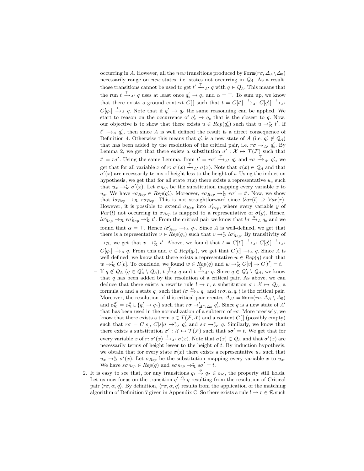occurring in A. However, all the new transitions produced by  $\text{Norm}(r\sigma, \Delta_A \setminus \Delta_0)$ necessarily range on *new* states, i.e. states not occurring in  $Q_A$ . As a result, those transitions cannot be used to get  $t' \stackrel{\top}{\rightarrow}_{A'} q$  with  $q \in Q_A$ . This means that the run  $t \stackrel{\top}{\rightarrow}_{A'} q$  uses at least once  $q'_c \rightarrow q_c$  and  $\alpha = \top$ . To sum up, we know that there exists a ground context  $C[\]$  such that  $t = C[t'] \stackrel{\top}{\longrightarrow}_{A'} C[q_c'] \stackrel{\top}{\longrightarrow}_{A'}$  $C[q_c] \stackrel{\top}{\rightarrow}_A q$ . Note that if  $q_c \rightarrow q_c$  the same reasonning can be applied. We start to reason on the occurrence of  $q'_c \to q_c$  that is the closest to q. Now, our objective is to show that there exists  $u \in Rep(q'_c)$  such that  $u \to_{\mathcal{R}}^* t'$ . If  $t' \stackrel{\top}{\rightarrow}_A q'_c$ , then since A is well defined the result is a direct consequence of Definition 4. Otherwise this means that  $q'_c$  is a new state of A (i.e.  $q'_c \notin Q_A$ ) that has been added by the resolution of the critical pair, i.e.  $r\sigma \rightarrow_{\Delta'}^{\perp} q'_{c}$ . By Lemma 2, we get that there exists a substitution  $\sigma': \mathcal{X} \mapsto \mathcal{T}(\mathcal{F})$  such that  $t' = r\sigma'$ . Using the same Lemma, from  $t' = r\sigma' \stackrel{\top}{\rightarrow}_{A'} q'_c$  and  $r\sigma \stackrel{\top}{\rightarrow}_{A'} q'_c$ , we get that for all variable x of r:  $\sigma'(x) \xrightarrow{\top}_{A'} \sigma(x)$ . Note that  $\sigma(x) \in Q_A$  and that  $\sigma'(x)$  are necessarily terms of height less to the height of t. Using the induction hypothesis, we get that for all state  $\sigma(x)$  there exists a representative  $u_x$  such that  $u_x \rightarrow_{\mathcal{R}}^* \sigma'(x)$ . Let  $\sigma_{Rep}$  be the substitution mapping every variable x to  $u_x$ . We have  $r\sigma_{Rep} \in Rep(q'_c)$ . Moreover,  $r\sigma_{Rep} \to_{\mathcal{R}}^* r\sigma' = t'$ . Now, we show that  $l\sigma_{Rep} \rightarrow_{\mathcal{R}} r\sigma_{Rep}$ . This is not straightforward since  $Var(l) \supseteq Var(r)$ . However, it is possible to extend  $\sigma_{Rep}$  into  $\sigma'_{Rep}$ , where every variable y of  $Var(l)$  not occurring in  $\sigma_{Rep}$  is mapped to a representative of  $\sigma(y)$ . Hence,  $l\sigma_{Rep}' \to \pi \tau \sigma_{Rep}' \to \pi \tau'$ . From the critical pair we know that  $l\sigma \xrightarrow{\alpha} A q_c$  and we found that  $\alpha = \top$ . Hence  $l\sigma'_{Rep} \stackrel{\top}{\rightarrow}_A q_c$ . Since A is well-defined, we get that there is a representative  $v \in Rep(q_c)$  such that  $v \to_{\mathcal{R}}^* l \sigma'_{Rep}$ . By transitivity of  $\to \mathcal{R}$ , we get that  $v \to^*_{\mathcal{R}} t'$ . Above, we found that  $t = C[t'] \stackrel{\top}{\to}_{A'} C[q_c'] \stackrel{\top}{\to}_{A'}$  $C[q_c] \stackrel{\top}{\rightarrow}_A q$ . From this and  $v \in Rep(q_c)$ , we get that  $C[v] \stackrel{\top}{\rightarrow}_A q$ . Since A is well defined, we know that there exists a representative  $w \in Rep(q)$  such that  $w \to_{\mathcal{R}}^* C[v]$ . To conclude, we found  $w \in Rep(q)$  and  $w \to_{\mathcal{R}}^* C[v] \to C[t'] = t$ .

- $-$  If  $q \notin Q_A$  ( $q \in Q'_A \setminus Q_A$ ),  $t \not\rightarrow_A q$  and  $t \rightarrow_{A'} q$ . Since  $q \in Q'_A \setminus Q_A$ , we know that  $q$  has been added by the resolution of a critical pair. As above, we can deduce that there exists a rewrite rule  $l \to r$ , a substitution  $\sigma : \mathcal{X} \mapsto Q_A$ , a formula  $\alpha$  and a state  $q_c$  such that  $l\sigma \xrightarrow{\alpha} q_c$  and  $\langle r\sigma, \alpha, q_c \rangle$  is the critical pair. Moreover, the resolution of this critical pair creates  $\Delta_{A'} = \text{Norm}(r\sigma, \Delta_A \setminus \Delta_0)$ and  $\varepsilon^{A'}_{\mathcal{R}} = \varepsilon^A_{\mathcal{R}} \cup \{q_c' \to q_c\}$  such that  $r\sigma \to_{\Delta' \setminus \Delta_0}^{\mathcal{L}} q_c'$ . Since q is a new state of A' that has been used in the normalization of a subterm of  $r\sigma$ . More precisely, we know that there exists a term  $s \in \mathcal{T}(\mathcal{F}, \mathcal{X})$  and a context  $C[\ ]$  (possibly empty) such that  $r\sigma = C[s]$ ,  $C[s]\sigma \rightarrow_{\Delta'}^* q'_c$  and  $s\sigma \rightarrow_{\Delta'}^* q$ . Similarly, we know that there exists a substitution  $\sigma': \mathcal{X} \mapsto \mathcal{T}(\mathcal{F})$  such that  $s\sigma' = t$ . We get that for every variable x of r:  $\sigma'(x) \stackrel{\top}{\rightarrow}_{A'} \sigma(x)$ . Note that  $\sigma(x) \in Q_A$  and that  $\sigma'(x)$  are necessarily terms of height lesser to the height of  $t$ . By induction hypothesis, we obtain that for every state  $\sigma(x)$  there exists a representative  $u_x$  such that  $u_x \rightarrow_{\mathcal{R}}^* \sigma'(x)$ . Let  $\sigma_{Rep}$  be the substitution mapping every variable x to  $u_x$ . We have  $s\sigma_{Rep} \in Rep(q)$  and  $s\sigma_{Rep} \to_{\mathcal{R}}^* s\sigma' = t$ .
- 2. It is easy to see that, for any transitions  $q_1 \stackrel{\phi}{\to} q_2 \in \varepsilon_{\mathcal{R}}$ , the property still holds. Let us now focus on the transition  $q' \stackrel{\alpha}{\rightarrow} q$  resulting from the resolution of Critical pair  $\langle r\sigma, \alpha, q \rangle$ . By definition,  $\langle r\sigma, \alpha, q \rangle$  results from the application of the matching algorithm of Definition 7 given in Appendix C. So there exists a rule  $l \to r \in \mathcal{R}$  such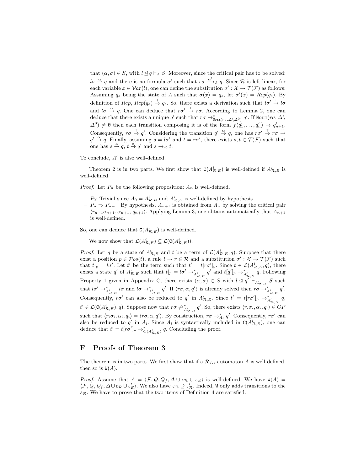that  $(\alpha, \sigma) \in S$ , with  $l \leq q \vdash_A S$ . Moreover, since the critical pair has to be solved:  $l\sigma \stackrel{\alpha}{\rightarrow} q$  and there is no formula  $\alpha'$  such that  $r\sigma \stackrel{\alpha'}{\rightarrow}_A q$ . Since  $\mathcal R$  is left-linear, for each variable  $x \in Var(l)$ , one can define the substitution  $\sigma' : \mathcal{X} \to \mathcal{T}(\mathcal{F})$  as follows: Assuming  $q_s$  being the state of A such that  $\sigma(x) = q_s$ , let  $\sigma'(x) = Rep(q_s)$ . By definition of Rep,  $Rep(q_s) \stackrel{\top}{\to} q_s$ . So, there exists a derivation such that  $l\sigma' \stackrel{\top}{\to} l\sigma$ and  $l\sigma \stackrel{\alpha}{\rightarrow} q$ . One can deduce that  $r\sigma' \stackrel{\top}{\rightarrow} r\sigma$ . According to Lemma 2, one can deduce that there exists a unique  $q'$  such that  $r\sigma \to_{\text{Norm}(r\sigma,\Delta\setminus\Delta^0)}^* q'$ . If Norm $(r\sigma,\Delta\setminus\Delta)$  $\Delta^{0}$   $\neq \emptyset$  then each transition composing it is of the form  $f(q'_1, \ldots, q'_n) \to q'_{n+1}$ . Consequently,  $r\sigma \stackrel{\top}{\rightarrow} q'$ . Considering the transition  $q' \stackrel{\alpha}{\rightarrow} q$ , one has  $r\sigma' \stackrel{\top}{\rightarrow} r\sigma \stackrel{\top}{\rightarrow}$  $q' \stackrel{\alpha}{\to} q$ . Finally, assuming  $s = l\sigma'$  and  $t = r\sigma'$ , there exists  $s, t \in \mathcal{T}(\mathcal{F})$  such that one has  $s \stackrel{\alpha}{\rightarrow} q$ ,  $t \stackrel{\alpha}{\rightarrow} q'$  and  $s \rightarrow_{\mathcal{R}} t$ .

To conclude,  $A'$  is also well-defined.

Theorem 2 is in two parts. We first show that  $C(A_{\mathcal{R},E}^i)$  is well-defined if  $A_{\mathcal{R},E}^i$  is well-defined.

*Proof.* Let  $P_n$  be the following proposition:  $A_n$  is well-defined.

- $P_0$ : Trivial since  $A_0 = A_{\mathcal{R},E}^i$  and  $A_{\mathcal{R},E}^i$  is well-defined by hypothesis.
- $-P_n \Rightarrow P_{n+1}$ : By hypothesis,  $A_{n+1}$  is obtained from  $A_n$  by solving the critical pair  $\langle r_{n+1}\sigma_{n+1}, \alpha_{n+1}, q_{n+1}\rangle$ . Applying Lemma 3, one obtains automatically that  $A_{n+1}$ is well-defined.

So, one can deduce that  $C(A_{\mathcal{R},E}^i)$  is well-defined.

We now show that  $\mathcal{L}(A^i_{\mathcal{R},E}) \subseteq \mathcal{L}(\mathcal{C}(A^i_{\mathcal{R},E})).$ 

*Proof.* Let q be a state of  $A_{\mathcal{R},E}^i$  and t be a term of  $\mathcal{L}(A_{\mathcal{R},E}^i,q)$ . Suppose that there exist a position  $p \in Pos(t)$ , a rule  $l \to r \in \mathcal{R}$  and a substitution  $\sigma' : \mathcal{X} \to \mathcal{T}(\mathcal{F})$  such that  $t|_p = l\sigma'$ . Let t' be the term such that  $t' = t[r\sigma']_p$ . Since  $t \in \mathcal{L}(A_{\mathcal{R},E}^i, q)$ , there exists a state q' of  $A_{\mathcal{R},E}^i$  such that  $t|_p = l\sigma' \rightarrow_{A_{\mathcal{R},E}^i}^* q'$  and  $t[q']_p \rightarrow_{A_{\mathcal{R},E}^i}^* q$ . Following Property 1 given in Appendix C, there exists  $(\alpha, \sigma) \in S$  with  $l \leq q' \vdash_{A_{\mathcal{R}, E}^i} S$  such that  $l\sigma' \to_{A_{\mathcal{R},E}^*}^* l\sigma$  and  $l\sigma \to_{A_{\mathcal{R},E}^*}^* q'$ . If  $\langle r\sigma,\alpha,q'\rangle$  is already solved then  $r\sigma \to_{A_{\mathcal{R},E}^*}^* q'$ . Consequently,  $r\sigma'$  can also be reduced to  $q'$  in  $A_{\mathcal{R},E}^i$ . Since  $t' = t[r\sigma']_p \to_{A_{\mathcal{R},E}^i}^* q$ ,  $t' \in \mathcal{L}(\mathsf{C}(A_{\mathcal{R},E}^i), q)$ . Suppose now that  $r\sigma \not\rightarrow^*_{A_{\mathcal{R},E}^i} q'.$  So, there exists  $\langle r_i \sigma_i, \alpha_i, q_i \rangle \in CP$ such that  $\langle r_i \sigma_i, \alpha_i, q_i \rangle = \langle r \sigma, \alpha, q' \rangle$ . By construction,  $r \sigma \rightarrow_A^* q'$ . Consequently,  $r \sigma'$  can also be reduced to q' in  $A_i$ . Since  $A_i$  is syntactically included in  $C(A_{\mathcal{R},E}^i)$ , one can deduce that  $t' = t[r\sigma']_p \rightarrow_{C(A^i_{\mathcal{R},E})}^* q$ . Concluding the proof.

## F Proofs of Theorem 3

The theorem is in two parts. We first show that if a  $\mathcal{R}/_E$ -automaton A is well-defined, then so is  $W(A)$ .

*Proof.* Assume that  $A = \langle \mathcal{F}, Q, Q_f, \Delta \cup \varepsilon_{\mathcal{R}} \cup \varepsilon_{E} \rangle$  is well-defined. We have W(A) =  $\langle \mathcal{F}, Q, Q_f, \Delta \cup \varepsilon_{\mathcal{R}} \cup \varepsilon'_{E} \rangle$ . We also have  $\varepsilon_{\mathcal{R}} \supseteq \varepsilon'_{\mathcal{R}}$ . Indeed, W only adds transitions to the  $\varepsilon_{\mathcal{R}}$ . We have to prove that the two items of Definition 4 are satisfied.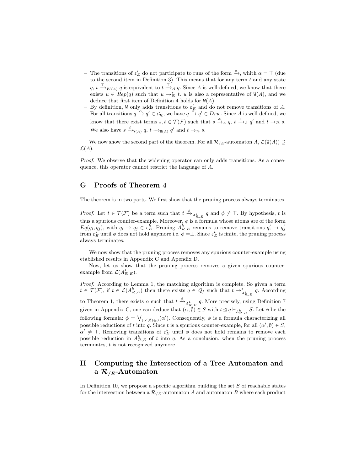- The transitions of  $\varepsilon_E'$  do not participate to runs of the form  $\stackrel{\alpha}{\to}$ , whith  $\alpha = \top$  (due to the second item in Definition 3). This means that for any term  $t$  and any state  $q, t \stackrel{\top}{\rightarrow}_{W(A)} q$  is equivalent to  $t \stackrel{\top}{\rightarrow}_A q$ . Since A is well-defined, we know that there exists  $u \in Rep(q)$  such that  $u \to_{\mathcal{R}}^* t$ . u is also a representative of  $W(A)$ , and we deduce that first item of Definition 4 holds for  $W(A)$ .
- By definition, W only adds transitions to  $\varepsilon_E'$  and do not remove transitions of A. For all transitions  $q \xrightarrow{\alpha} q' \in \varepsilon_R'$ , we have  $q \xrightarrow{\tilde{\alpha}} q' \in Drw$ . Since A is well-defined, we know that there exist terms  $s, t \in \mathcal{T}(\mathcal{F})$  such that  $s \xrightarrow{\phi} A q, t \xrightarrow{\top} A q'$  and  $t \to \infty s$ . We also have  $s \xrightarrow{\phi} \mathsf{W}(A)$   $q, t \xrightarrow{\top} \mathsf{W}(A)$   $q'$  and  $t \to \infty$  s.

We now show the second part of the theorem. For all  $\mathcal{R}_{/E}$ -automaton A,  $\mathcal{L}(\mathbf{W}(A)) \supseteq$  $\mathcal{L}(A)$ .

Proof. We observe that the widening operator can only adds transitions. As a consequence, this operator cannot restrict the language of A.

### G Proofs of Theorem 4

The theorem is in two parts. We first show that the pruning process always terminates.

*Proof.* Let  $t \in \mathcal{T}(\mathcal{F})$  be a term such that  $t \xrightarrow{\phi}_{A_{\mathcal{R},E}^k} q$  and  $\phi \neq \top$ . By hypothesis, t is thus a spurious counter-example. Moreover,  $\phi$  is a formula whose atoms are of the form  $Eq(q_i, q_j)$ , with  $q_i \to q_j \in \varepsilon_E^k$ . Pruning  $A_{\mathcal{R},E}^k$  remains to remove transitions  $q'_i \to q'_j$ from  $\varepsilon_E^k$  until  $\phi$  does not hold anymore i.e.  $\phi = \perp$ . Since  $\varepsilon_E^k$  is finite, the pruning process always terminates.

We now show that the pruning process removes any spurious counter-example using etablished results in Appendix C and Apendix D.

Now, let us show that the pruning process removes a given spurious counterexample from  $\mathcal{L}(A_{\mathcal{R},E}^k)$ .

Proof. According to Lemma 1, the matching algorithm is complete. So given a term  $t \in \mathcal{T}(\mathcal{F})$ , if  $t \in \mathcal{L}(A_{\mathcal{R},E}^k)$  then there exists  $q \in Q_f$  such that  $t \to^*_{A_{\mathcal{R},E}^k} q$ . According

to Theorem 1, there exists  $\alpha$  such that  $t \xrightarrow{\phi}_{A^k_{\mathcal{D}} - F} q$ . More precisely, using Definition 7 given in Appendix C, one can deduce that  $(\alpha, \emptyset) \in S$  with  $t \leq q \vdash_{A_{\mathcal{R}, E}} S$ . Let  $\phi$  be the following formula:  $\phi = \bigvee_{(\alpha', \emptyset) \in S} (\alpha')$ . Consequently,  $\phi$  is a formula characterizing all possible reductions of t into q. Since t is a spurious counter-example, for all  $(\alpha', \emptyset) \in S$ ,  $\alpha' \neq \top$ . Removing transitions of ε<sup>k</sup><sub>E</sub> until φ does not hold remains to remove each possible reduction in  $A_{\mathcal{R},E}^k$  of t into q. As a conclusion, when the pruning process terminates, t is not recognized anymore.

## H Computing the Intersection of a Tree Automaton and a  $\mathcal{R}_{/E}$ -Automaton

In Definition 10, we propose a specific algorithm building the set  $S$  of reachable states for the intersection between a  $\mathcal{R}_{/E}$ -automaton A and automaton B where each product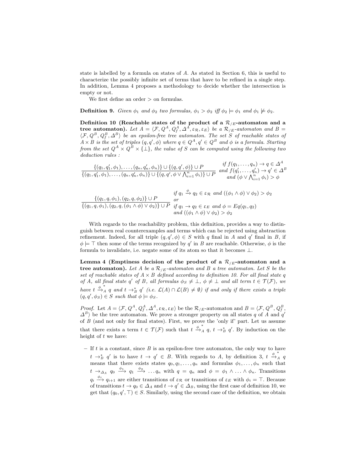state is labelled by a formula on states of A. As stated in Section 6, this is useful to characterize the possibly infinite set of terms that have to be refined in a single step. In addition, Lemma 4 proposes a methodology to decide whether the intersection is empty or not.

We first define an order  $>$  on formulas.

**Definition 9.** Given  $\phi_1$  and  $\phi_2$  two formulas,  $\phi_1 > \phi_2$  iff  $\phi_2 \models \phi_1$  and  $\phi_1 \not\models \phi_2$ .

Definition 10 (Reachable states of the product of a  $\mathcal{R}_{/E}$ -automaton and a tree automaton). Let  $A = \langle \mathcal{F}, Q^A, Q_f^A, \Delta^A, \varepsilon_R, \varepsilon_E \rangle$  be a  $\mathcal{R}_{/E}$ -automaton and  $B =$  $\langle \mathcal{F}, Q^B, Q^B_f, \Delta^B \rangle$  be an epsilon-free tree automaton. The set S of reachable states of  $A \times B$  is the set of triples  $(q, q', \phi)$  where  $q \in Q^A, q' \in Q^B$  and  $\phi$  is a formula. Starting from the set  $Q^A \times Q^B \times {\{\perp\}}$ , the value of S can be computed using the following two deduction rules :

$$
\frac{\{(q_1, q'_1, \phi_1), \dots, (q_n, q'_n, \phi_n)\} \cup \{(q, q', \phi)\} \cup P}{\{(q_1, q'_1, \phi_1), \dots, (q_n, q'_n, \phi_n)\} \cup \{(q, q', \phi \lor \bigwedge_{i=1}^n \phi_i)\} \cup P} \quad \text{and} \quad f(q'_1, \dots, q'_n) \to q' \in \Delta^B \text{ and } g' \text{ and } g' \text{ and } g' \text{ and } g' \text{ and } g' \text{ and } g' \text{ and } g' \text{ and } g' \text{ and } g' \text{ and } g' \text{ and } g' \text{ and } g' \text{ and } g' \text{ and } g' \text{ and } g' \text{ and } g' \text{ and } g' \text{ and } g' \text{ and } g' \text{ and } g' \text{ and } g' \text{ and } g' \text{ and } g' \text{ and } g' \text{ and } g' \text{ and } g' \text{ and } g' \text{ and } g' \text{ and } g' \text{ and } g' \text{ and } g' \text{ and } g' \text{ and } g' \text{ and } g' \text{ and } g' \text{ and } g' \text{ and } g' \text{ and } g' \text{ and } g' \text{ and } g' \text{ and } g' \text{ and } g' \text{ and } g' \text{ and } g' \text{ and } g' \text{ and } g' \text{ and } g' \text{ and } g' \text{ and } g' \text{ and } g' \text{ and } g' \text{ and } g' \text{ and } g' \text{ and } g' \text{ and } g' \text{ and } g' \text{ and } g' \text{ and } g' \text{ and } g' \text{ and } g' \text{ and } g' \text{ and } g' \text{ and } g' \text{ and } g' \text{ and } g' \text{ and } g' \text{ and } g' \text{ and } g' \text{ and } g' \text{ and } g' \text{ and } g' \text{ and } g' \text{ and } g' \text{ and } g' \text{ and } g' \text{ and } g' \text{ and } g' \text{ and } g' \text{ and } g' \text{ and } g' \text{ and } g' \text{ and } g' \text{ and } g' \text{ and } g' \text{ and } g' \text{ and } g' \text{ and } g' \text{ and } g' \
$$

 $\{(q_1, q, \phi_1), (q_2, q, \phi_2)\} \cup F$  $\{(q_1, q, \phi_1), (q_2, q, (\phi_1 \wedge \phi) \vee \phi_2)\}\cup P$ if  $q_1 \stackrel{\phi}{-}$ if  $q_1 \stackrel{\phi}{\rightarrow} q_2 \in \varepsilon_{\mathcal{R}}$  and  $((\phi_1 \wedge \phi) \vee \phi_2) > \phi_2$ or if  $q_1 \rightarrow q_2 \in \varepsilon_E$  and  $\phi = Eq(q_1, q_2)$ and  $((\phi_1 \wedge \phi) \vee \phi_2) > \phi_2$ 

With regards to the reachability problem, this definition, provides a way to distinguish between real counterexamples and terms which can be rejected using abstraction refinement. Indeed, for all triple  $(q, q', \phi) \in S$  with q final in A and q' final in B, if  $\phi \models \top$  then some of the terms recognized by  $q'$  in B are reachable. Otherwise,  $\phi$  is the formula to invalidate, i.e. negate some of its atom so that it becomes  $\bot$ .

Lemma 4 (Emptiness decision of the product of a  $\mathcal{R}_{E}$ -automaton and a tree automaton). Let A be a  $\mathcal{R}_{/E}$ -automaton and B a tree automaton. Let S be the set of reachable states of  $A \times B$  defined according to definition 10. For all final state q of A, all final state q' of B, all formulas  $\phi_S \neq \bot$ ,  $\phi \neq \bot$  and all term  $t \in \mathcal{T}(\mathcal{F})$ , we have  $t \stackrel{\phi^*}{\to}_A q$  and  $t \to_B^* q'$  (i.e.  $\mathcal{L}(A) \cap \mathcal{L}(B) \neq \emptyset$ ) if and only if there exists a triple  $(q, q', \phi_S) \in S$  such that  $\phi \models \phi_S$ .

*Proof.* Let  $A = \langle \mathcal{F}, Q^A, Q_f^A, \Delta^A, \varepsilon_R, \varepsilon_E \rangle$  be the  $\mathcal{R}_{/E}$ -automaton and  $B = \langle \mathcal{F}, Q^B, Q_f^B, \Delta^A, \varepsilon_R, \varepsilon_E \rangle$  $\Delta^B$ ) be the tree automaton. We prove a stronger property on all states q of A and  $q'$ of  $B$  (and not only for final states). First, we prove the 'only if' part. Let us assume that there exists a term  $t \in \mathcal{T}(\mathcal{F})$  such that  $t \xrightarrow{\phi^*} q$ ,  $t \to^*_{B} q'$ . By induction on the height of  $t$  we have:

– If  $t$  is a constant, since  $B$  is an epsilon-free tree automaton, the only way to have  $t \to p^* q$  is to have  $t \to q' \in B$ . With regards to A, by definition 3,  $t \stackrel{\phi^*}{\to}_A q$ means that there exists states  $q_0, q_1, \ldots, q_n$  and formulas  $\phi_1, \ldots, \phi_n$  such that  $t \to_{\Delta_A} q_0 \stackrel{\phi_1}{\longrightarrow} q_1 \stackrel{\phi_2}{\longrightarrow} \ldots q_n$  with  $q = q_n$  and  $\phi = \phi_1 \wedge \ldots \wedge \phi_n$ . Transitions  $q_i \stackrel{\phi_i}{\longrightarrow} q_{i+1}$  are either transitions of  $\varepsilon_R$  or transitions of  $\varepsilon_E$  with  $\phi_i = \top$ . Because of transitions  $t \to q_0 \in \Delta_A$  and  $t \to q' \in \Delta_B$ , using the first case of definition 10, we get that  $(q_0, q', \top) \in S$ . Similarly, using the second case of the definition, we obtain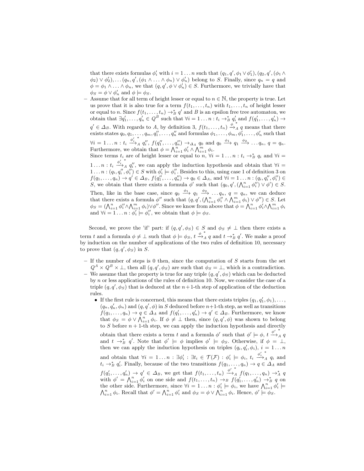that there exists formulas  $\phi'_i$  with  $i = 1 \dots n$  such that  $(q_1, q', \phi_1 \vee \phi'_1), (q_2, q', (\phi_1 \wedge$  $\phi_2 \triangleright \phi_2', \ldots (q_n, q', (\phi_1 \wedge \ldots \wedge \phi_n) \vee \phi_n')$  belong to S. Finally, since  $q_n = q$  and  $\phi = \phi_1 \wedge \ldots \wedge \phi_n$ , we that  $(q, q', \phi \vee \phi'_n) \in S$ . Furthermore, we trivially have that  $\phi_S = \phi \vee \phi'_n$  and  $\phi \models \phi_S$ .

Assume that for all term of height lesser or equal to  $n \in \mathbb{N}$ , the property is true. Let us prove that it is also true for a term  $f(t_1, \ldots, t_n)$  with  $t_1, \ldots, t_n$  of height lesser or equal to n. Since  $f(t_1, \ldots, t_n) \to_B^* q'$  and B is an epsilon free tree automaton, we obtain that  $\exists q'_1, \ldots, q'_n \in Q^B$  such that  $\forall i = 1 \ldots n : t_i \to_B^* q'_i$  and  $f(q'_1, \ldots, q'_n) \to$  $q' \in \Delta_B$ . With regards to A, by definition 3,  $f(t_1, \ldots, t_n) \xrightarrow{\phi^* A} q$  means that there exists states  $q_0, q_1, \ldots, q_m, q_1'', \ldots, q_n''$  and formulas  $\phi_1, \ldots, \phi_m, \phi_1', \ldots, \phi_n'$  such that  $\forall i = 1 \ldots n : t_i \stackrel{\phi'_i}{\longrightarrow}_A q''_i, f(q''_1, \ldots, q''_n) \rightarrow_{\Delta_A} q_0 \text{ and } q_0 \stackrel{\phi_1}{\longrightarrow} q_1 \stackrel{\phi_2}{\longrightarrow} \ldots q_n, q = q_n.$ Furthermore, we obtain that  $\phi = \bigwedge_{i=1}^n \phi'_i \wedge \bigwedge_{i=1}^m \phi_i$ . Since terms  $t_i$  are of height lesser or equal to  $n, \forall i = 1 \dots n : t_i \rightarrow_B^* q_i$  and  $\forall i =$  $1 \ldots n : t_i \stackrel{\phi_i'}{\longrightarrow}_A q_i'',$  we can apply the induction hypothesis and obtain that  $\forall i =$  $1 \ldots n : (q_i, q_i'', \phi_i'') \in S$  with  $\phi_i' \models \phi_i''$ . Besides to this, using case 1 of definition 3 on  $f(q_1,..., q_n) \to q' \in \Delta_B$ ,  $f(q''_1,..., q''_n) \to q_0 \in \Delta_A$ , and  $\forall i = 1...n : (q_i, q''_i, \phi''_i) \in$ S, we obtain that there exists a formula  $\phi'$  such that  $(q_0, q', (\bigwedge_{i=1}^n \phi_i'') \vee \phi') \in S$ . Then, like in the base case, since  $q_0 \stackrel{\phi_1}{\longrightarrow} q_1 \stackrel{\phi_2}{\longrightarrow} \ldots q_n$ ,  $q = q_n$ , we can deduce that there exists a formula  $\phi''$  such that  $(q, q', (\bigwedge_{i=1}^n \phi''_i \wedge \bigwedge_{i=1}^m \phi_i) \vee \phi'') \in S$ . Let  $\phi_S = (\bigwedge_{i=1}^n \phi_i'' \wedge \bigwedge_{i=1}^m \phi_i) \vee \phi''$ . Since we know from above that  $\phi = \bigwedge_{i=1}^n \phi_i' \wedge \bigwedge_{i=1}^m \phi_i$ and  $\forall i = 1 \dots n : \phi_i' \models \phi_i'',$  we obtain that  $\phi \models \phi_S$ .

Second, we prove the 'if' part: if  $(q, q', \phi_S) \in S$  and  $\phi_S \neq \bot$  then there exists a term t and a formula  $\phi \neq \bot$  such that  $\phi \models \phi_S$ ,  $t \stackrel{\phi}{\rightarrow_A}^* q$  and  $t \rightarrow_B^* q'$ . We make a proof by induction on the number of applications of the two rules of definition 10, necessary to prove that  $(q, q', \phi_S)$  in S.

- $-$  If the number of steps is 0 then, since the computation of  $S$  starts from the set  $Q^A \times Q^B \times \perp$ , then all  $(q, q', \phi_S)$  are such that  $\phi_S = \perp$ , which is a contradiction.
- We assume that the property is true for any triple  $(q, q', \phi_S)$  which can be deducted by n or less applications of the rules of definition 10. Now, we consider the case of a triple  $(q, q', \phi_S)$  that is deduced at the  $n+1$ -th step of application of the deduction rules.
	- If the first rule is concerned, this means that there exists triples  $(q_1, q'_1, \phi_1), \ldots$ ,  $(q_n, q'_n, \phi_n)$  and  $(q, q', \phi)$  in S deduced before  $n+1$ -th step, as well as transitions  $f(q_1,\ldots,q_n) \to q \in \Delta_A$  and  $f(q'_1,\ldots,q'_n) \to q' \in \Delta_B$ . Furthermore, we know that  $\phi_S = \phi \vee \bigwedge_{i=1}^n \phi_i$ . If  $\phi \neq \bot$  then, since  $(q, q', \phi)$  was shown to belong to S before  $n + 1$ -th step, we can apply the induction hypothesis and directly obtain that there exists a term t and a formula  $\phi'$  such that  $\phi' \models \phi$ ,  $t \stackrel{\phi'}{\rightarrow}^*_{A} q$ and  $t \to_B^* q'$ . Note that  $\phi' \models \phi$  implies  $\phi' \models \phi_S$ . Otherwise, if  $\phi = \bot$ , then we can apply the induction hypothesis on triples  $(q_i, q'_i, \phi_i), i = 1...n$ and obtain that  $\forall i = 1...n : \exists \phi'_i : \exists t_i \in \mathcal{T}(\mathcal{F}) : \phi'_i \models \phi_i, t_i \stackrel{\phi'_i}{\longrightarrow}_A q_i$  and  $t_i \to_B^* q'_i$ . Finally, because of the two transitions  $f(q_1, \ldots, q_n) \to q \in \Delta_A$  and  $f(q'_1,\ldots,q'_n) \to q' \in \Delta_B$ , we get that  $f(t_1,\ldots,t_n) \xrightarrow{\phi'}^* f(q_1,\ldots,q_n) \to^*_{A} q$ with  $\phi' = \bigwedge_{i=1}^n \phi'_i$  on one side and  $f(t_1, \ldots, t_n) \to_B f(q'_1, \ldots, q'_n) \to_B^* q$  on the other side. Furthermore, since  $\forall i = 1 \dots n : \phi'_i \models \phi_i$ , we have  $\bigwedge_{i=1}^n \phi'_i \models$  $\bigwedge_{i=1}^n \phi_i$ . Recall that  $\phi' = \bigwedge_{i=1}^n \phi'_i$  and  $\phi_S = \phi \vee \bigwedge_{i=1}^n \phi_i$ . Hence,  $\phi' \models \phi_S$ .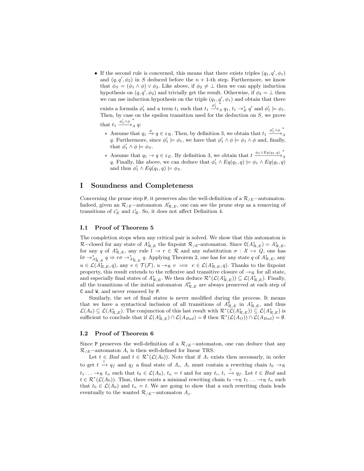• If the second rule is concerned, this means that there exists triples  $(q_1, q', \phi_1)$ and  $(q, q', \phi_2)$  in S deduced before the  $n + 1$ -th step. Furthermore, we know that  $\phi_S = (\phi_1 \wedge \phi) \vee \phi_2$ . Like above, if  $\phi_2 \neq \bot$  then we can apply induction hypothesis on  $(q, q', \phi_2)$  and trivially get the result. Otherwise, if  $\phi_2 = \perp$  then we can use induction hypothesis on the triple  $(q_1, q', \phi_1)$  and obtain that there

exists a formula  $\phi'_1$  and a term  $t_1$  such that  $t_1 \xrightarrow{\phi'_1} A q_1, t_1 \rightarrow_B^* q'$  and  $\phi'_1 \models \phi_1$ . Then, by case on the epsilon transition used for the deduction on S, we prove that  $t_1 \xrightarrow{\phi'_1 \wedge \phi}^* q$ :

- ∗ Assume that  $q_1 \xrightarrow{\phi} q \in \varepsilon_{\mathcal{R}}$ . Then, by definition 3, we obtain that  $t_1 \xrightarrow{\phi'_1 \wedge \phi^*}$ A q. Furthermore, since  $\phi'_1 \models \phi_1$ , we have that  $\phi'_1 \wedge \phi \models \phi_1 \wedge \phi$  and, finally, that  $\phi'_1 \wedge \phi \models \phi_S$ .
- ∗ Assume that  $q_1 \to q \in \varepsilon_E$ . By definition 3, we obtain that  $t \xrightarrow{\phi_1 \vee Eq(q_1,q)}$ A q. Finally, like above, we can deduce that  $\phi'_1 \wedge Eq(q_1, q) \models \phi_1 \wedge Eq(q_1, q)$ and thus  $\phi'_1 \wedge Eq(q_1, q) \models \phi_S$ .

#### I Soundness and Completeness

Concerning the prune step P, it preserves also the well-definition of a  $\mathcal{R}_{/E}$ −automaton. Indeed, given an  $\mathcal{R}_{/E}$ −automaton  $A_{\mathcal{R},E}^i$ , one can see the prune step as a removing of transitions of  $\varepsilon_E^i$  and  $\varepsilon_R^i$ . So, it does not affect Definition 4.

#### I.1 Proof of Theorem 5

The completion stops when any critical pair is solved. We show that this automaton is R-closed for any state of  $A_{\mathcal{R},E}^*$  the fixpoint  $\mathcal{R}_{/E}$ -automaton. Since  $\mathcal{C}(A_{\mathcal{R},E}^*) = A_{\mathcal{R},E}^*$ , for any q of  $A_{\mathcal{R},E}^*$ , any rule  $l \to r \in \mathcal{R}$  and any substitution  $\sigma : \mathcal{X} \mapsto Q$ , one has  $l\sigma \to^*_{A^*_{\mathcal{R},E}} q \Rightarrow r\sigma \to^*_{A^*_{\mathcal{R},E}} q$ . Applying Theorem 2, one has for any state q of  $A^*_{\mathcal{R},E}$ , any  $u \in \mathcal{L}(\mathring{A}_{\mathcal{R},E}^*, q)$ , any  $v \in \mathcal{T}(\mathcal{F})$ ,  $u \to_{\mathcal{R}} v \implies v \in \mathcal{L}(\mathring{A}_{\mathcal{R},E}^*, q)$ . Thanks to the fixpoint property, this result extends to the reflexive and transitive closure of  $\rightarrow \mathbb{R}$  for all state, and especially final states of  $A_{\mathcal{R},E}^*$ . We then deduce  $\mathcal{R}^*(\mathcal{L}(A_{\mathcal{R},E}^*)) \subseteq \mathcal{L}(A_{\mathcal{R},E}^*)$ . Finally, all the transitions of the initial automaton  $A_{\mathcal{R},E}^0$  are always preserved at each step of C and W, and never removed by P.

Similarly, the set of final states is never modified during the process. It means that we have a syntactical inclusion of all transitions of  $A_{\mathcal{R},E}^0$  in  $A_{\mathcal{R},E}^*$ , and thus  $\mathcal{L}(A_0) \subseteq \mathcal{L}(A_{\mathcal{R},E}^*)$ . The conjunction of this last result with  $\mathcal{R}^*(\mathcal{L}(A_{\mathcal{R},E}^*)) \subseteq \mathcal{L}(A_{\mathcal{R},E}^*)$  is sufficient to conclude that if  $\mathcal{L}(A_{\mathcal{R},E}^*) \cap \mathcal{L}(A_{Bad}) = \emptyset$  then  $\mathcal{R}^*(\mathcal{L}(A_O)) \cap \mathcal{L}(A_{Bad}) = \emptyset$ .

#### I.2 Proof of Theorem 6

Since P preserves the well-definition of a  $\mathcal{R}_{/E}$ −automaton, one can deduce that any  $\mathcal{R}_{/E}$ −automaton  $A_i$  is then well-defined for linear TRS.

Let  $t \in Bad$  and  $t \in \mathcal{R}^*(\mathcal{L}(A_0))$ . Note that if  $A_i$  exists then necessarly, in order to get  $t \stackrel{\top}{\to} q_f$  and  $q_f$  a final state of  $A_i$ ,  $A_i$  must contain a rewriting chain  $t_0 \to_{\mathcal{R}}$  $t_1 \ldots \rightarrow_{\mathcal{R}} t_n$  such that  $t_0 \in \mathcal{L}(A_0)$ ,  $t_n = t$  and for any  $t_i$ ,  $t_i \stackrel{\top}{\rightarrow} q_f$ . Let  $t \in Bad$  and  $t \in \mathcal{R}^*(\mathcal{L}(A_0))$ . Thus, there exists a minimal rewriting chain  $t_0 \to_{\mathcal{R}} t_1 \dots \to_{\mathcal{R}} t_n$  such that  $t_0 \in \mathcal{L}(A_0)$  and  $t_n = t$ . We are going to show that a such rewriting chain leads eventually to the wanted  $\mathcal{R}_{/E}$ −automaton  $A_j$ .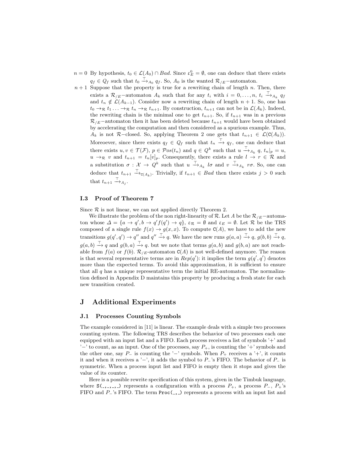- $n = 0$  By hypothesis,  $t_0 \in \mathcal{L}(A_0) \cap Bad$ . Since  $\varepsilon_E^0 = \emptyset$ , one can deduce that there exists  $q_f \in Q_f$  such that  $t_0 \stackrel{\top}{\longrightarrow}_{A_0} q_f$ . So,  $A_0$  is the wanted  $\mathcal{R}_{/E}$ -automaton.
- $n + 1$  Suppose that the property is true for a rewriting chain of length n. Then, there exists a  $\mathcal{R}_{/E}$ -automaton  $A_k$  such that for any  $t_i$  with  $i = 0, \ldots, n, t_i \stackrel{\top}{\rightarrow}_{A_k} q_f$ and  $t_n \notin \mathcal{L}(A_{k-1})$ . Consider now a rewriting chain of length  $n + 1$ . So, one has  $t_0 \to_{\mathcal{R}} t_1 \ldots \to_{\mathcal{R}} t_n \to_{\mathcal{R}} t_{n+1}$ . By construction,  $t_{n+1}$  can not be in  $\mathcal{L}(A_k)$ . Indeed, the rewriting chain is the minimal one to get  $t_{n+1}$ . So, if  $t_{n+1}$  was in a previous  $\mathcal{R}_{\angle E}$ −automaton then it has been deleted because  $t_{n+1}$  would have been obtained by accelerating the computation and then considered as a spurious example. Thus,  $A_k$  is not R−closed. So, applying Theorem 2 one gets that  $t_{n+1} \in \mathcal{L}(\mathcal{C}(A_k)).$ Moreoever, since there exists  $q_f \in Q_f$  such that  $t_n \stackrel{\top}{\to} q_f$ , one can deduce that there exists  $u, v \in \mathcal{T}(\mathcal{F}), p \in \mathcal{P}os(t_n)$  and  $q \in Q^k$  such that  $u \xrightarrow{\top}_{A_k} q, t_n|_p = u$ ,  $u \to \mathcal{R}$  v and  $t_{n+1} = t_n[v]_p$ . Consequently, there exists a rule  $l \to r \in \mathcal{R}$  and a substitution  $\sigma: \mathcal{X} \to Q^k$  such that  $u \xrightarrow{\top}_{A_k} l \sigma$  and  $v \xrightarrow{\top}_{A_k} r \sigma$ . So, one can deduce that  $t_{n+1} \xrightarrow{\top}_{c(A_k)}$ . Trivially, if  $t_{n+1} \in Bad$  then there exists  $j > 0$  such that  $t_{n+1} \stackrel{\top}{\longrightarrow}_{A_j}$ .

#### I.3 Proof of Theorem 7

Since  $R$  is not linear, we can not applied directly Theorem 2.

We illustrate the problem of the non right-linearity of R. Let A be the  $\mathcal{R}_{/E}$ −automaton whose  $\Delta = \{a \to q', b \to q' f(q') \to q\}$ ,  $\varepsilon_{\mathcal{R}} = \emptyset$  and  $\varepsilon_E = \emptyset$ . Let  $\mathcal{R}$  be the TRS composed of a single rule  $f(x) \to g(x,x)$ . To compute  $C(A)$ , we have to add the new transitions  $g(q', q') \to q''$  and  $q'' \to q$ . We have the new runs  $g(a, a) \to q$ ,  $g(b, b) \to q$ ,  $g(a, b) \stackrel{\top}{\rightarrow} q$  and  $g(b, a) \stackrel{\top}{\rightarrow} q$ , but we note that terms  $g(a, b)$  and  $g(b, a)$  are not reachable from  $f(a)$  or  $f(b)$ .  $\mathcal{R}_{/E}$ -automaton  $\mathcal{C}(A)$  is not well-defined anymore. The reason is that several representative terms are in  $Rep(q')$ : it implies the term  $g(q', q')$  denotes more than the expected terms. To avoid this approximation, it is sufficient to ensure that all  $q$  has a unique representative term the initial RE-automaton. The normalization defined in Appendix D maintains this property by producing a fresh state for each new transition created.

#### J Additional Experiments

#### J.1 Processes Counting Symbols

The example considered in [11] is linear. The example deals with a simple two processes counting system. The following TRS describes the behavior of two processes each one equipped with an input list and a FIFO. Each process receives a list of symbols '+' and '−' to count, as an input. One of the processes, say  $P_+$ , is counting the '+' symbols and the other one, say  $P_-\$  is counting the '−' symbols. When  $P_+\$  receives a '+', it counts it and when it receives a '−', it adds the symbol to  $P_$ -'s FIFO. The behavior of  $P_$  is symmetric. When a process input list and FIFO is empty then it stops and gives the value of its counter.

Here is a possible rewrite specification of this system, given in the Timbuk language, where  $S($ ,,,,,) represents a configuration with a process  $P_+$ , a process  $P_-, P_+$ 's FIFO and P−'s FIFO. The term Proc( , ) represents a process with an input list and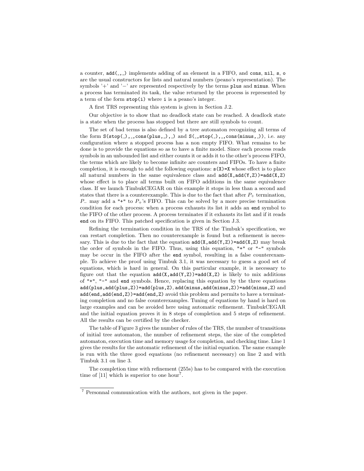a counter,  $add(\_, \_)$  implements adding of an element in a FIFO, and cons, nil, s, o are the usual constructors for lists and natural numbers (peano's representation). The symbols '+' and '−' are represented respectively by the terms plus and minus. When a process has terminated its task, the value returned by the process is represented by a term of the form stop(i) where i is a peano's integer.

A first TRS representing this system is given in Section J.2.

Our objective is to show that no deadlock state can be reached. A deadlock state is a state when the process has stopped but there are still symbols to count.

The set of bad terms is also defined by a tree automaton recognizing all terms of the form  $S(\text{stop}(.), .,\text{cons}(\text{plus}, .), .)$  and  $S(.,\text{stop}(.), .,\text{cons}(\text{minus}, .))$ , i.e. any configuration where a stopped process has a non empty FIFO. What remains to be done is to provide the equations so as to have a finite model. Since each process reads symbols in an unbounded list and either counts it or adds it to the other's process FIFO, the terms which are likely to become infinite are counters and FIFOs. To have a finite completion, it is enough to add the following equations:  $s(X)=X$  whose effect is to place all natural numbers in the same equivalence class and  $add(X,add(Y,Z))=add(X,Z)$ whose effect is to place all terms built on FIFO additions in the same equivalence class. If we launch TimbukCEGAR on this example it stops in less than a second and states that there is a counterexample. This is due to the fact that after  $P_+$  termination, P may add a "+" to  $P_+$ 's FIFO. This can be solved by a more precise termination condition for each process: when a process exhausts its list it adds an end symbol to the FIFO of the other process. A process terminates if it exhausts its list and if it reads end on its FIFO. This patched specification is given in Section J.3.

Refining the termination condition in the TRS of the Timbuk's specification, we can restart completion. Then no counterexample is found but a refinement is necessary. This is due to the fact that the equation  $add(X,add(Y,Z))=add(X,Z)$  may break the order of symbols in the FIFO. Thus, using this equation, "+" or "-" symbols may be occur in the FIFO after the end symbol, resulting in a false counterexample. To achieve the proof using Timbuk 3.1, it was necessary to guess a good set of equations, which is hard in general. On this particular example, it is necessary to figure out that the equation  $add(X,add(Y,Z))=add(X,Z)$  is likely to mix additions of "+", "-" and end symbols. Hence, replacing this equation by the three equations add(plus,add(plus,Z))=add(plus,Z),add(minus,add(minus,Z))=add(minus,Z) and  $add(end,addend,Z))$ = $add(end,Z)$  avoid this problem and permits to have a terminating completion and no false counterexamples. Tuning of equations by hand is hard on large examples and can be avoided here using automatic refinement. TimbukCEGAR and the initial equation proves it in 8 steps of completion and 5 steps of refinement. All the results can be certified by the checker.

The table of Figure 3 gives the number of rules of the TRS, the number of transitions of initial tree automaton, the number of refinement steps, the size of the completed automaton, execution time and memory usage for completion, and checking time. Line 1 gives the results for the automatic refinement of the initial equation. The same example is run with the three good equations (no refinement necessary) on line 2 and with Timbuk 3.1 on line 3.

The completion time with refinement (255s) has to be compared with the execution time of  $[11]$  which is superior to one hour<sup>7</sup>.

<sup>7</sup> Personnal communication with the authors, not given in the paper.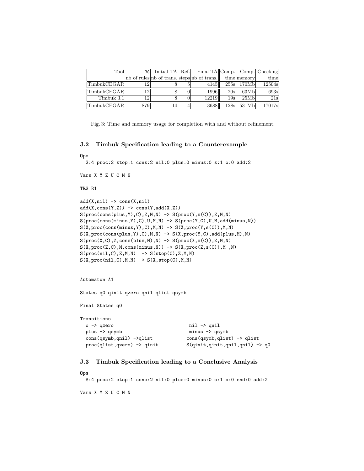| Tool         | R.I |  | Initial TA Ref. Final TA Comp. Comp. Checking |     |              |        |
|--------------|-----|--|-----------------------------------------------|-----|--------------|--------|
|              |     |  | nb of rules nb of trans. steps nb of trans.   |     | time memory  | time   |
| TimbukCEGAR  | 12  |  | 4145                                          |     | 255s 170Mbl  | 12504s |
| TimbukCEGAR  | 12  |  | 1996                                          | 20s | 63Mbl        | 693s   |
| Timbuk $3.1$ | 12  |  | 12219                                         | 19s | 25Mb         | 21s    |
| TimbukCEGAR  | 879 |  | 3688                                          |     | $128s$ 531Mb | 17017s |

Fig. 3: Time and memory usage for completion with and without refinement.

#### J.2 Timbuk Specification leading to a Counterexample

```
Ops
  S:4 proc:2 stop:1 cons:2 nil:0 plus:0 minus:0 s:1 o:0 add:2
Vars X Y Z U C M N
TRS R1
add(X, nil) \rightarrow cons(X, nil)add(X, cons(Y, Z)) \rightarrow cons(Y, add(X, Z))S(proc(cons(plus,Y),C),Z,M,N) \rightarrow S(proc(Y,s(C)),Z,M,N)S(proc(cons(minus, Y), C), U, M, N) \rightarrow S(proc(Y, C), U, M, add(minus, N))S(X,proc(cons(minus, Y), C), M, N) \rightarrow S(X,proc(Y, s(C)), M, N)S(X,proc(cons(plus,Y),C),M,N) \rightarrow S(X,proc(Y,C),add(plus,M),N)S(proc(X, C), Z, cons(plus, M), N) \rightarrow S(proc(X, s(C)), Z, M, N)S(X,proc(Z,C),M,cons(minus,N)) \rightarrow S(X,proc(Z,s(C)),M,N)S(proc(nil,C),Z,M,N) \rightarrow S(stop(C),Z,M,N)S(X,proc(nil,C),M,N) \rightarrow S(X,stop(C),M,N)Automaton A1
```
States q0 qinit qzero qnil qlist qsymb

Final States q0

| Transitions                           |                                           |
|---------------------------------------|-------------------------------------------|
| $o \rightarrow q$ zero                | $ni1 \rightarrow qni1$                    |
| $plus$ $\rightarrow$ $qsymb$          | $minus$ $\rightarrow$ qsymb               |
| $cons(qsymb, qni1)$ ->qlist           | $cons(qsymbol,qlist) \rightarrow qlist$   |
| $proc(qlist,qzero) \rightarrow qinit$ | $S(qinit,qinit,qnil,qnil) \rightarrow q0$ |

#### J.3 Timbuk Specification leading to a Conclusive Analysis

Ops S:4 proc:2 stop:1 cons:2 nil:0 plus:0 minus:0 s:1 o:0 end:0 add:2 Vars X Y Z U C M N